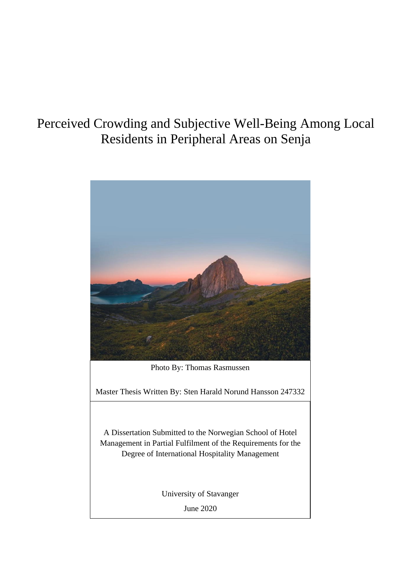# Perceived Crowding and Subjective Well-Being Among Local Residents in Peripheral Areas on Senja

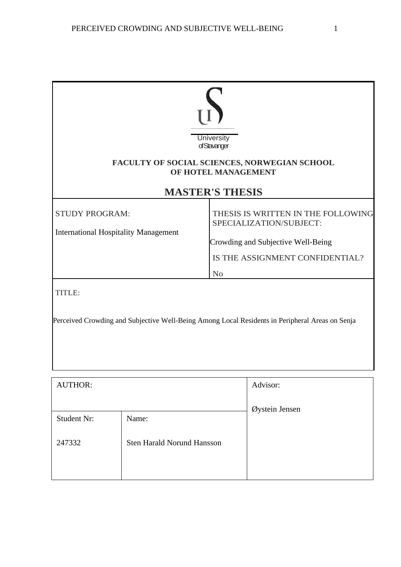| <b>University</b><br>of Stavanger<br>FACULTY OF SOCIAL SCIENCES, NORWEGIAN SCHOOL<br>OF HOTEL MANAGEMENT<br><b>MASTER'S THESIS</b> |                                                                                                                                                          |  |  |
|------------------------------------------------------------------------------------------------------------------------------------|----------------------------------------------------------------------------------------------------------------------------------------------------------|--|--|
| <b>STUDY PROGRAM:</b><br><b>International Hospitality Management</b>                                                               | THESIS IS WRITTEN IN THE FOLLOWING<br>SPECIALIZATION/SUBJECT:<br>Crowding and Subjective Well-Being<br>IS THE ASSIGNMENT CONFIDENTIAL?<br>N <sub>o</sub> |  |  |
| <b>TITLE:</b>                                                                                                                      | Perceived Crowding and Subjective Well-Being Among Local Residents in Peripheral Areas on Senja                                                          |  |  |

| <b>AUTHOR:</b> |                                   | Advisor:       |
|----------------|-----------------------------------|----------------|
|                |                                   | Øystein Jensen |
| Student Nr:    | Name:                             |                |
| 247332         | <b>Sten Harald Norund Hansson</b> |                |
|                |                                   |                |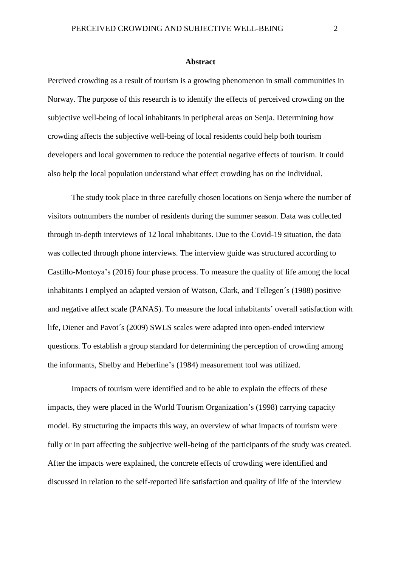#### **Abstract**

<span id="page-2-0"></span>Percived crowding as a result of tourism is a growing phenomenon in small communities in Norway. The purpose of this research is to identify the effects of perceived crowding on the subjective well-being of local inhabitants in peripheral areas on Senja. Determining how crowding affects the subjective well-being of local residents could help both tourism developers and local governmen to reduce the potential negative effects of tourism. It could also help the local population understand what effect crowding has on the individual.

The study took place in three carefully chosen locations on Senja where the number of visitors outnumbers the number of residents during the summer season. Data was collected through in-depth interviews of 12 local inhabitants. Due to the Covid-19 situation, the data was collected through phone interviews. The interview guide was structured according to Castillo-Montoya's (2016) four phase process. To measure the quality of life among the local inhabitants I emplyed an adapted version of Watson, Clark, and Tellegen´s (1988) positive and negative affect scale (PANAS). To measure the local inhabitants' overall satisfaction with life, Diener and Pavot´s (2009) SWLS scales were adapted into open-ended interview questions. To establish a group standard for determining the perception of crowding among the informants, Shelby and Heberline's (1984) measurement tool was utilized.

Impacts of tourism were identified and to be able to explain the effects of these impacts, they were placed in the World Tourism Organization's (1998) carrying capacity model. By structuring the impacts this way, an overview of what impacts of tourism were fully or in part affecting the subjective well-being of the participants of the study was created. After the impacts were explained, the concrete effects of crowding were identified and discussed in relation to the self-reported life satisfaction and quality of life of the interview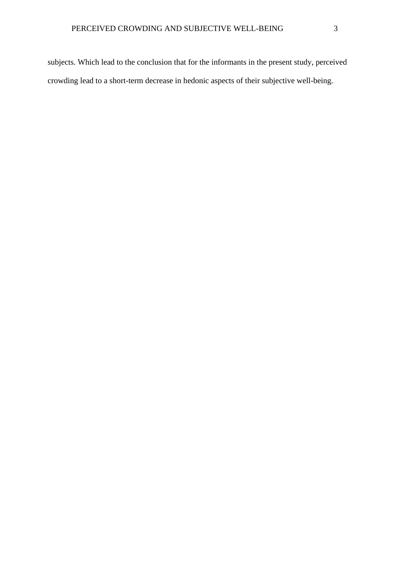subjects. Which lead to the conclusion that for the informants in the present study, perceived crowding lead to a short-term decrease in hedonic aspects of their subjective well-being.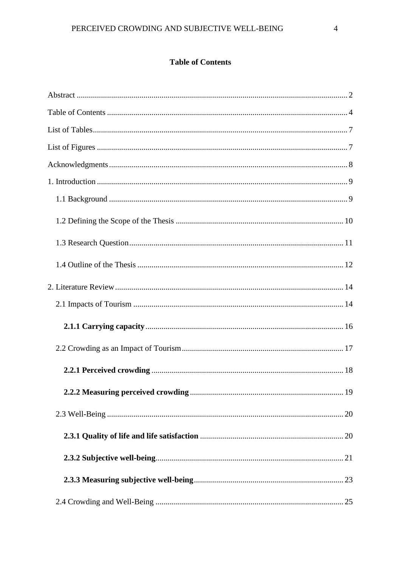# **Table of Contents**

<span id="page-4-0"></span>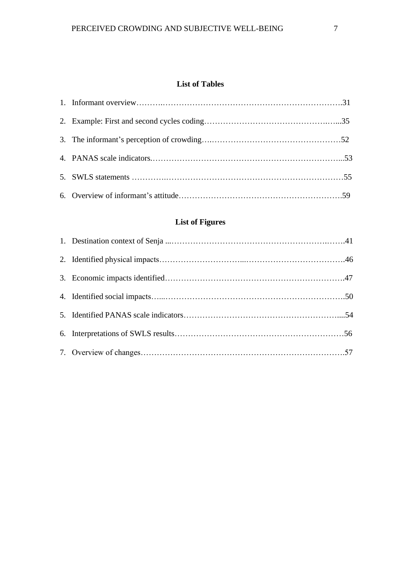# **List of Tables**

<span id="page-7-0"></span>

# **List of Figures**

<span id="page-7-2"></span><span id="page-7-1"></span>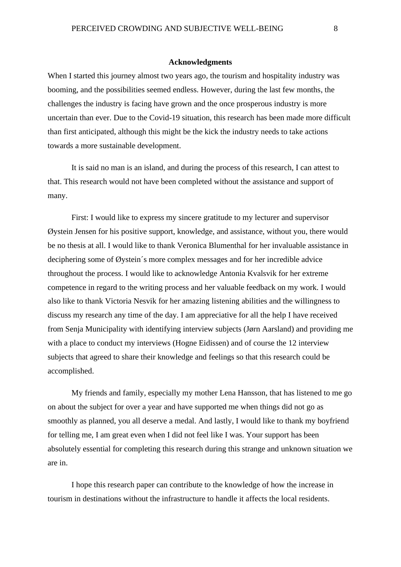#### **Acknowledgments**

When I started this journey almost two years ago, the tourism and hospitality industry was booming, and the possibilities seemed endless. However, during the last few months, the challenges the industry is facing have grown and the once prosperous industry is more uncertain than ever. Due to the Covid-19 situation, this research has been made more difficult than first anticipated, although this might be the kick the industry needs to take actions towards a more sustainable development.

It is said no man is an island, and during the process of this research, I can attest to that. This research would not have been completed without the assistance and support of many.

First: I would like to express my sincere gratitude to my lecturer and supervisor Øystein Jensen for his positive support, knowledge, and assistance, without you, there would be no thesis at all. I would like to thank Veronica Blumenthal for her invaluable assistance in deciphering some of Øystein´s more complex messages and for her incredible advice throughout the process. I would like to acknowledge Antonia Kvalsvik for her extreme competence in regard to the writing process and her valuable feedback on my work. I would also like to thank Victoria Nesvik for her amazing listening abilities and the willingness to discuss my research any time of the day. I am appreciative for all the help I have received from Senja Municipality with identifying interview subjects (Jørn Aarsland) and providing me with a place to conduct my interviews (Hogne Eidissen) and of course the 12 interview subjects that agreed to share their knowledge and feelings so that this research could be accomplished.

My friends and family, especially my mother Lena Hansson, that has listened to me go on about the subject for over a year and have supported me when things did not go as smoothly as planned, you all deserve a medal. And lastly, I would like to thank my boyfriend for telling me, I am great even when I did not feel like I was. Your support has been absolutely essential for completing this research during this strange and unknown situation we are in.

I hope this research paper can contribute to the knowledge of how the increase in tourism in destinations without the infrastructure to handle it affects the local residents.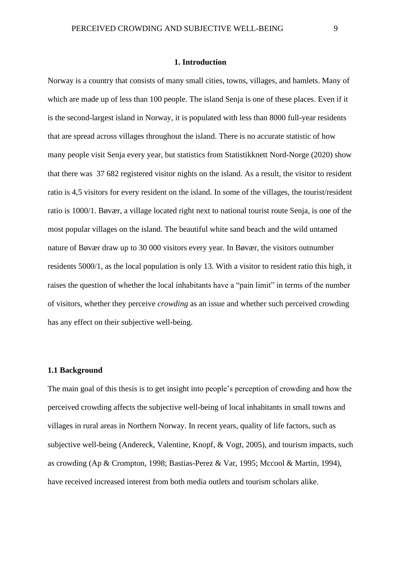#### **1. Introduction**

<span id="page-9-0"></span>Norway is a country that consists of many small cities, towns, villages, and hamlets. Many of which are made up of less than 100 people. The island Senja is one of these places. Even if it is the second-largest island in Norway, it is populated with less than 8000 full-year residents that are spread across villages throughout the island. There is no accurate statistic of how many people visit Senja every year, but statistics from Statistikknett Nord-Norge (2020) show that there was 37 682 registered visitor nights on the island. As a result, the visitor to resident ratio is 4,5 visitors for every resident on the island. In some of the villages, the tourist/resident ratio is 1000/1. Bøvær, a village located right next to national tourist route Senja, is one of the most popular villages on the island. The beautiful white sand beach and the wild untamed nature of Bøvær draw up to 30 000 visitors every year. In Bøvær, the visitors outnumber residents 5000/1, as the local population is only 13. With a visitor to resident ratio this high, it raises the question of whether the local inhabitants have a "pain limit" in terms of the number of visitors, whether they perceive *crowding* as an issue and whether such perceived crowding has any effect on their subjective well-being.

#### <span id="page-9-1"></span>**1.1 Background**

The main goal of this thesis is to get insight into people's perception of crowding and how the perceived crowding affects the subjective well-being of local inhabitants in small towns and villages in rural areas in Northern Norway. In recent years, quality of life factors, such as subjective well-being (Andereck, Valentine, Knopf, & Vogt, 2005), and tourism impacts, such as crowding (Ap & Crompton, 1998; Bastias-Perez & Var, 1995; Mccool & Martin, 1994), have received increased interest from both media outlets and tourism scholars alike.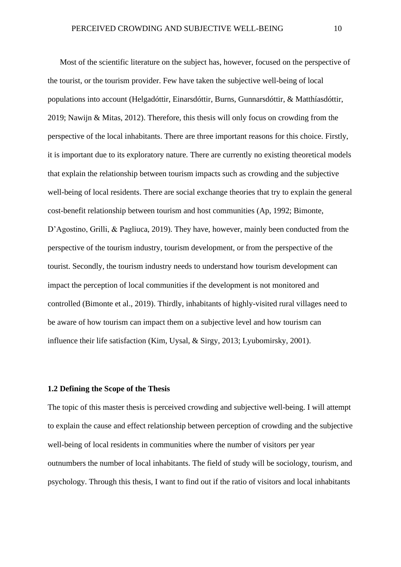Most of the scientific literature on the subject has, however, focused on the perspective of the tourist, or the tourism provider. Few have taken the subjective well-being of local populations into account (Helgadóttir, Einarsdóttir, Burns, Gunnarsdóttir, & Matthíasdóttir, 2019; Nawijn & Mitas, 2012). Therefore, this thesis will only focus on crowding from the perspective of the local inhabitants. There are three important reasons for this choice. Firstly, it is important due to its exploratory nature. There are currently no existing theoretical models that explain the relationship between tourism impacts such as crowding and the subjective well-being of local residents. There are social exchange theories that try to explain the general cost-benefit relationship between tourism and host communities (Ap, 1992; Bimonte, D'Agostino, Grilli, & Pagliuca, 2019). They have, however, mainly been conducted from the perspective of the tourism industry, tourism development, or from the perspective of the tourist. Secondly, the tourism industry needs to understand how tourism development can impact the perception of local communities if the development is not monitored and controlled (Bimonte et al., 2019). Thirdly, inhabitants of highly-visited rural villages need to be aware of how tourism can impact them on a subjective level and how tourism can influence their life satisfaction (Kim, Uysal, & Sirgy, 2013; Lyubomirsky, 2001).

#### <span id="page-10-0"></span>**1.2 Defining the Scope of the Thesis**

The topic of this master thesis is perceived crowding and subjective well-being. I will attempt to explain the cause and effect relationship between perception of crowding and the subjective well-being of local residents in communities where the number of visitors per year outnumbers the number of local inhabitants. The field of study will be sociology, tourism, and psychology. Through this thesis, I want to find out if the ratio of visitors and local inhabitants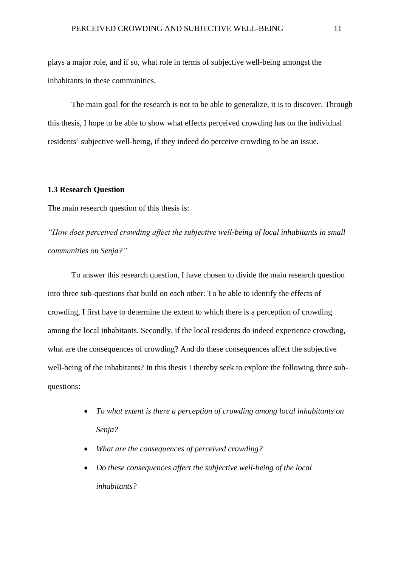plays a major role, and if so, what role in terms of subjective well-being amongst the inhabitants in these communities.

The main goal for the research is not to be able to generalize, it is to discover. Through this thesis, I hope to be able to show what effects perceived crowding has on the individual residents' subjective well-being, if they indeed do perceive crowding to be an issue.

## <span id="page-11-0"></span>**1.3 Research Question**

The main research question of this thesis is:

*"How does perceived crowding affect the subjective well-being of local inhabitants in small communities on Senja?"* 

To answer this research question, I have chosen to divide the main research question into three sub-questions that build on each other: To be able to identify the effects of crowding, I first have to determine the extent to which there is a perception of crowding among the local inhabitants. Secondly, if the local residents do indeed experience crowding, what are the consequences of crowding? And do these consequences affect the subjective well-being of the inhabitants? In this thesis I thereby seek to explore the following three subquestions:

- *To what extent is there a perception of crowding among local inhabitants on Senja?*
- *What are the consequences of perceived crowding?*
- *Do these consequences affect the subjective well-being of the local inhabitants?*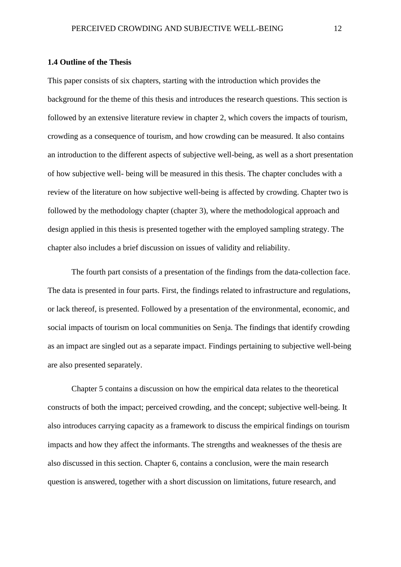#### <span id="page-12-0"></span>**1.4 Outline of the Thesis**

This paper consists of six chapters, starting with the introduction which provides the background for the theme of this thesis and introduces the research questions. This section is followed by an extensive literature review in chapter 2, which covers the impacts of tourism, crowding as a consequence of tourism, and how crowding can be measured. It also contains an introduction to the different aspects of subjective well-being, as well as a short presentation of how subjective well- being will be measured in this thesis. The chapter concludes with a review of the literature on how subjective well-being is affected by crowding. Chapter two is followed by the methodology chapter (chapter 3), where the methodological approach and design applied in this thesis is presented together with the employed sampling strategy. The chapter also includes a brief discussion on issues of validity and reliability.

The fourth part consists of a presentation of the findings from the data-collection face. The data is presented in four parts. First, the findings related to infrastructure and regulations, or lack thereof, is presented. Followed by a presentation of the environmental, economic, and social impacts of tourism on local communities on Senja. The findings that identify crowding as an impact are singled out as a separate impact. Findings pertaining to subjective well-being are also presented separately.

Chapter 5 contains a discussion on how the empirical data relates to the theoretical constructs of both the impact; perceived crowding, and the concept; subjective well-being. It also introduces carrying capacity as a framework to discuss the empirical findings on tourism impacts and how they affect the informants. The strengths and weaknesses of the thesis are also discussed in this section. Chapter 6, contains a conclusion, were the main research question is answered, together with a short discussion on limitations, future research, and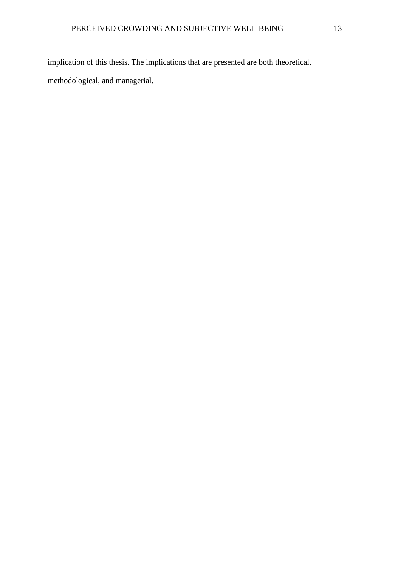implication of this thesis. The implications that are presented are both theoretical, methodological, and managerial.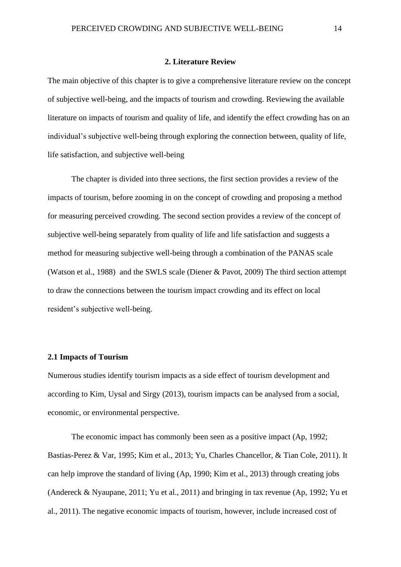#### **2. Literature Review**

<span id="page-14-0"></span>The main objective of this chapter is to give a comprehensive literature review on the concept of subjective well-being, and the impacts of tourism and crowding. Reviewing the available literature on impacts of tourism and quality of life, and identify the effect crowding has on an individual's subjective well-being through exploring the connection between, quality of life, life satisfaction, and subjective well-being

The chapter is divided into three sections, the first section provides a review of the impacts of tourism, before zooming in on the concept of crowding and proposing a method for measuring perceived crowding. The second section provides a review of the concept of subjective well-being separately from quality of life and life satisfaction and suggests a method for measuring subjective well-being through a combination of the PANAS scale (Watson et al., 1988) and the SWLS scale (Diener & Pavot, 2009) The third section attempt to draw the connections between the tourism impact crowding and its effect on local resident's subjective well-being.

#### <span id="page-14-1"></span>**2.1 Impacts of Tourism**

Numerous studies identify tourism impacts as a side effect of tourism development and according to Kim, Uysal and Sirgy (2013), tourism impacts can be analysed from a social, economic, or environmental perspective.

The economic impact has commonly been seen as a positive impact (Ap, 1992; Bastias-Perez & Var, 1995; Kim et al., 2013; Yu, Charles Chancellor, & Tian Cole, 2011). It can help improve the standard of living (Ap, 1990; Kim et al., 2013) through creating jobs (Andereck & Nyaupane, 2011; Yu et al., 2011) and bringing in tax revenue (Ap, 1992; Yu et al., 2011). The negative economic impacts of tourism, however, include increased cost of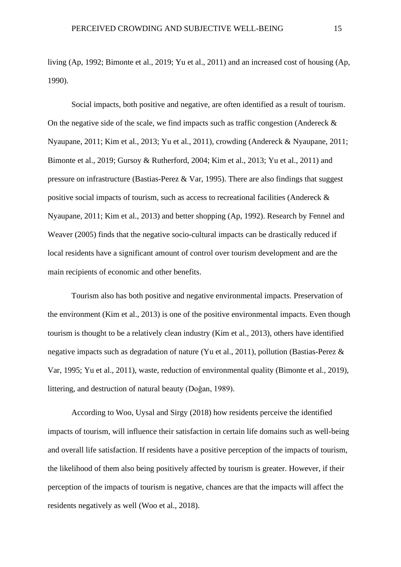living (Ap, 1992; Bimonte et al., 2019; Yu et al., 2011) and an increased cost of housing (Ap, 1990).

Social impacts, both positive and negative, are often identified as a result of tourism. On the negative side of the scale, we find impacts such as traffic congestion (Andereck  $\&$ Nyaupane, 2011; Kim et al., 2013; Yu et al., 2011), crowding (Andereck & Nyaupane, 2011; Bimonte et al., 2019; Gursoy & Rutherford, 2004; Kim et al., 2013; Yu et al., 2011) and pressure on infrastructure (Bastias-Perez & Var, 1995). There are also findings that suggest positive social impacts of tourism, such as access to recreational facilities (Andereck & Nyaupane, 2011; Kim et al., 2013) and better shopping (Ap, 1992). Research by Fennel and Weaver (2005) finds that the negative socio-cultural impacts can be drastically reduced if local residents have a significant amount of control over tourism development and are the main recipients of economic and other benefits.

Tourism also has both positive and negative environmental impacts. Preservation of the environment (Kim et al., 2013) is one of the positive environmental impacts. Even though tourism is thought to be a relatively clean industry (Kim et al., 2013), others have identified negative impacts such as degradation of nature (Yu et al., 2011), pollution (Bastias-Perez & Var, 1995; Yu et al., 2011), waste, reduction of environmental quality (Bimonte et al., 2019), littering, and destruction of natural beauty (Doğan, 1989).

According to Woo, Uysal and Sirgy (2018) how residents perceive the identified impacts of tourism, will influence their satisfaction in certain life domains such as well-being and overall life satisfaction. If residents have a positive perception of the impacts of tourism, the likelihood of them also being positively affected by tourism is greater. However, if their perception of the impacts of tourism is negative, chances are that the impacts will affect the residents negatively as well (Woo et al., 2018).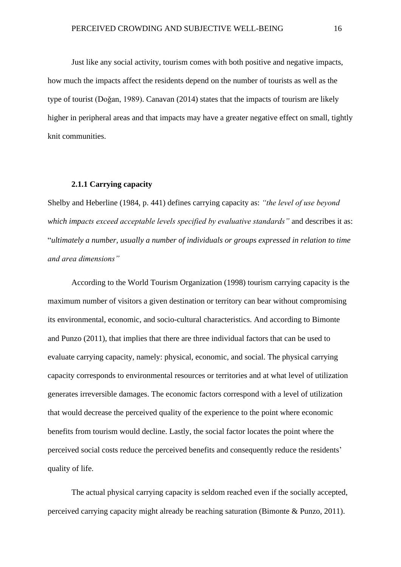Just like any social activity, tourism comes with both positive and negative impacts, how much the impacts affect the residents depend on the number of tourists as well as the type of tourist (Doǧan, 1989). Canavan (2014) states that the impacts of tourism are likely higher in peripheral areas and that impacts may have a greater negative effect on small, tightly knit communities.

#### **2.1.1 Carrying capacity**

<span id="page-16-0"></span>Shelby and Heberline (1984, p. 441) defines carrying capacity as: *"the level of use beyond which impacts exceed acceptable levels specified by evaluative standards"* and describes it as: "*ultimately a number, usually a number of individuals or groups expressed in relation to time and area dimensions"*

According to the World Tourism Organization (1998) tourism carrying capacity is the maximum number of visitors a given destination or territory can bear without compromising its environmental, economic, and socio-cultural characteristics. And according to Bimonte and Punzo (2011), that implies that there are three individual factors that can be used to evaluate carrying capacity, namely: physical, economic, and social. The physical carrying capacity corresponds to environmental resources or territories and at what level of utilization generates irreversible damages. The economic factors correspond with a level of utilization that would decrease the perceived quality of the experience to the point where economic benefits from tourism would decline. Lastly, the social factor locates the point where the perceived social costs reduce the perceived benefits and consequently reduce the residents' quality of life.

The actual physical carrying capacity is seldom reached even if the socially accepted, perceived carrying capacity might already be reaching saturation (Bimonte & Punzo, 2011).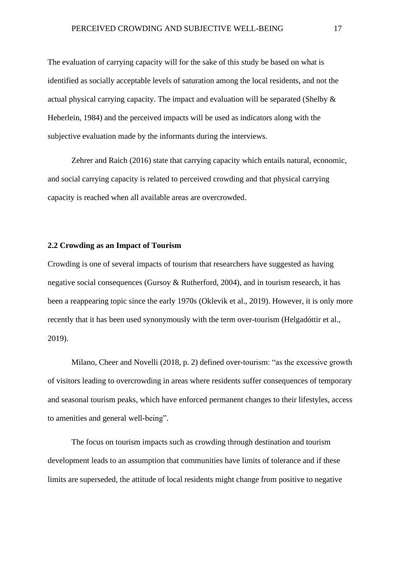The evaluation of carrying capacity will for the sake of this study be based on what is identified as socially acceptable levels of saturation among the local residents, and not the actual physical carrying capacity. The impact and evaluation will be separated (Shelby & Heberlein, 1984) and the perceived impacts will be used as indicators along with the subjective evaluation made by the informants during the interviews.

Zehrer and Raich (2016) state that carrying capacity which entails natural, economic, and social carrying capacity is related to perceived crowding and that physical carrying capacity is reached when all available areas are overcrowded.

#### <span id="page-17-0"></span>**2.2 Crowding as an Impact of Tourism**

Crowding is one of several impacts of tourism that researchers have suggested as having negative social consequences (Gursoy & Rutherford, 2004), and in tourism research, it has been a reappearing topic since the early 1970s (Oklevik et al., 2019). However, it is only more recently that it has been used synonymously with the term over-tourism (Helgadóttir et al., 2019).

Milano, Cheer and Novelli (2018, p. 2) defined over-tourism: "as the excessive growth of visitors leading to overcrowding in areas where residents suffer consequences of temporary and seasonal tourism peaks, which have enforced permanent changes to their lifestyles, access to amenities and general well-being".

The focus on tourism impacts such as crowding through destination and tourism development leads to an assumption that communities have limits of tolerance and if these limits are superseded, the attitude of local residents might change from positive to negative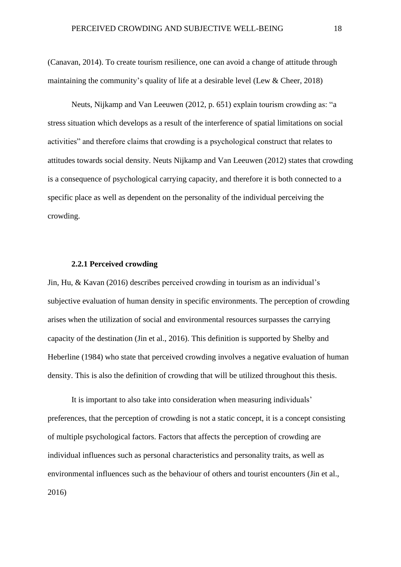(Canavan, 2014). To create tourism resilience, one can avoid a change of attitude through maintaining the community's quality of life at a desirable level (Lew & Cheer, 2018)

Neuts, Nijkamp and Van Leeuwen (2012, p. 651) explain tourism crowding as: "a stress situation which develops as a result of the interference of spatial limitations on social activities" and therefore claims that crowding is a psychological construct that relates to attitudes towards social density. Neuts Nijkamp and Van Leeuwen (2012) states that crowding is a consequence of psychological carrying capacity, and therefore it is both connected to a specific place as well as dependent on the personality of the individual perceiving the crowding.

#### **2.2.1 Perceived crowding**

<span id="page-18-0"></span>Jin, Hu, & Kavan (2016) describes perceived crowding in tourism as an individual's subjective evaluation of human density in specific environments. The perception of crowding arises when the utilization of social and environmental resources surpasses the carrying capacity of the destination (Jin et al., 2016). This definition is supported by Shelby and Heberline (1984) who state that perceived crowding involves a negative evaluation of human density. This is also the definition of crowding that will be utilized throughout this thesis.

It is important to also take into consideration when measuring individuals' preferences, that the perception of crowding is not a static concept, it is a concept consisting of multiple psychological factors. Factors that affects the perception of crowding are individual influences such as personal characteristics and personality traits, as well as environmental influences such as the behaviour of others and tourist encounters (Jin et al., 2016)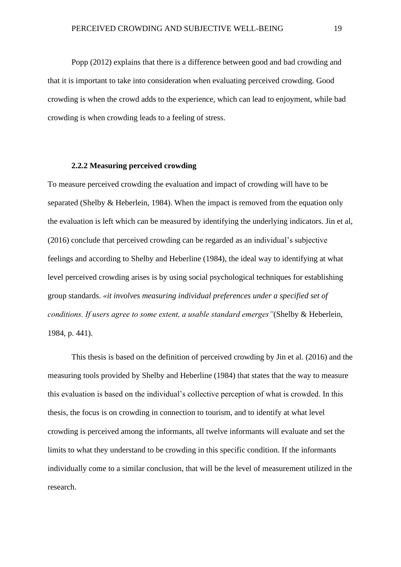Popp (2012) explains that there is a difference between good and bad crowding and that it is important to take into consideration when evaluating perceived crowding. Good crowding is when the crowd adds to the experience, which can lead to enjoyment, while bad crowding is when crowding leads to a feeling of stress.

#### **2.2.2 Measuring perceived crowding**

<span id="page-19-0"></span>To measure perceived crowding the evaluation and impact of crowding will have to be separated (Shelby & Heberlein, 1984). When the impact is removed from the equation only the evaluation is left which can be measured by identifying the underlying indicators. Jin et al, (2016) conclude that perceived crowding can be regarded as an individual's subjective feelings and according to Shelby and Heberline (1984), the ideal way to identifying at what level perceived crowding arises is by using social psychological techniques for establishing group standards. *«it involves measuring individual preferences under a specified set of conditions. If users agree to some extent, a usable standard emerges"*(Shelby & Heberlein, 1984, p. 441).

This thesis is based on the definition of perceived crowding by Jin et al. (2016) and the measuring tools provided by Shelby and Heberline (1984) that states that the way to measure this evaluation is based on the individual's collective perception of what is crowded. In this thesis, the focus is on crowding in connection to tourism, and to identify at what level crowding is perceived among the informants, all twelve informants will evaluate and set the limits to what they understand to be crowding in this specific condition. If the informants individually come to a similar conclusion, that will be the level of measurement utilized in the research.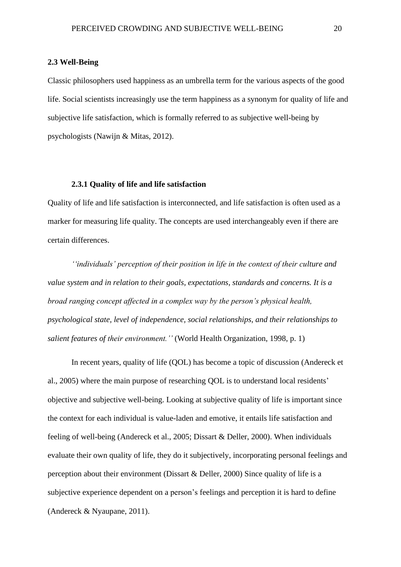#### <span id="page-20-0"></span>**2.3 Well-Being**

Classic philosophers used happiness as an umbrella term for the various aspects of the good life. Social scientists increasingly use the term happiness as a synonym for quality of life and subjective life satisfaction, which is formally referred to as subjective well-being by psychologists (Nawijn & Mitas, 2012).

#### **2.3.1 Quality of life and life satisfaction**

<span id="page-20-1"></span>Quality of life and life satisfaction is interconnected, and life satisfaction is often used as a marker for measuring life quality. The concepts are used interchangeably even if there are certain differences.

*''individuals' perception of their position in life in the context of their culture and value system and in relation to their goals, expectations, standards and concerns. It is a broad ranging concept affected in a complex way by the person's physical health, psychological state, level of independence, social relationships, and their relationships to salient features of their environment.''* (World Health Organization, 1998, p. 1)

In recent years, quality of life (QOL) has become a topic of discussion (Andereck et al., 2005) where the main purpose of researching QOL is to understand local residents' objective and subjective well-being. Looking at subjective quality of life is important since the context for each individual is value-laden and emotive, it entails life satisfaction and feeling of well-being (Andereck et al., 2005; Dissart & Deller, 2000). When individuals evaluate their own quality of life, they do it subjectively, incorporating personal feelings and perception about their environment (Dissart & Deller, 2000) Since quality of life is a subjective experience dependent on a person's feelings and perception it is hard to define (Andereck & Nyaupane, 2011).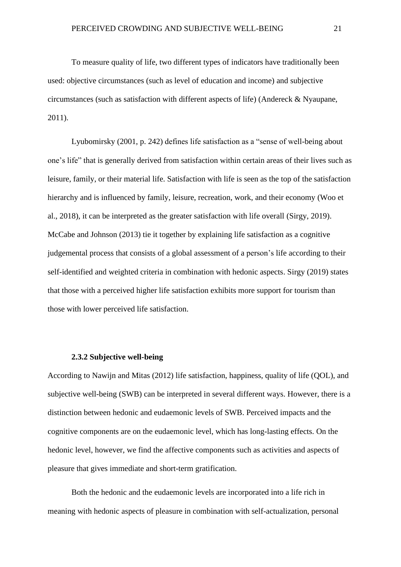To measure quality of life, two different types of indicators have traditionally been used: objective circumstances (such as level of education and income) and subjective circumstances (such as satisfaction with different aspects of life) (Andereck & Nyaupane, 2011).

Lyubomirsky (2001, p. 242) defines life satisfaction as a "sense of well-being about one's life" that is generally derived from satisfaction within certain areas of their lives such as leisure, family, or their material life. Satisfaction with life is seen as the top of the satisfaction hierarchy and is influenced by family, leisure, recreation, work, and their economy (Woo et al., 2018), it can be interpreted as the greater satisfaction with life overall (Sirgy, 2019). McCabe and Johnson (2013) tie it together by explaining life satisfaction as a cognitive judgemental process that consists of a global assessment of a person's life according to their self-identified and weighted criteria in combination with hedonic aspects. Sirgy (2019) states that those with a perceived higher life satisfaction exhibits more support for tourism than those with lower perceived life satisfaction.

#### **2.3.2 Subjective well-being**

<span id="page-21-0"></span>According to Nawijn and Mitas (2012) life satisfaction, happiness, quality of life (QOL), and subjective well-being (SWB) can be interpreted in several different ways. However, there is a distinction between hedonic and eudaemonic levels of SWB. Perceived impacts and the cognitive components are on the eudaemonic level, which has long-lasting effects. On the hedonic level, however, we find the affective components such as activities and aspects of pleasure that gives immediate and short-term gratification.

Both the hedonic and the eudaemonic levels are incorporated into a life rich in meaning with hedonic aspects of pleasure in combination with self-actualization, personal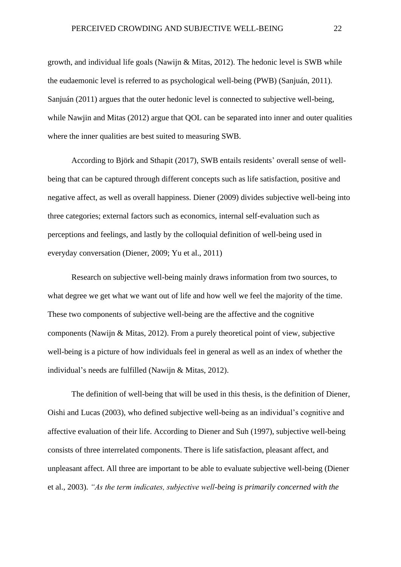growth, and individual life goals (Nawijn & Mitas, 2012). The hedonic level is SWB while the eudaemonic level is referred to as psychological well-being (PWB) (Sanjuán, 2011). Sanjuán (2011) argues that the outer hedonic level is connected to subjective well-being, while Nawjin and Mitas (2012) argue that QOL can be separated into inner and outer qualities where the inner qualities are best suited to measuring SWB.

According to Björk and Sthapit (2017), SWB entails residents' overall sense of wellbeing that can be captured through different concepts such as life satisfaction, positive and negative affect, as well as overall happiness. Diener (2009) divides subjective well-being into three categories; external factors such as economics, internal self-evaluation such as perceptions and feelings, and lastly by the colloquial definition of well-being used in everyday conversation (Diener, 2009; Yu et al., 2011)

Research on subjective well-being mainly draws information from two sources, to what degree we get what we want out of life and how well we feel the majority of the time. These two components of subjective well-being are the affective and the cognitive components (Nawijn & Mitas, 2012). From a purely theoretical point of view, subjective well-being is a picture of how individuals feel in general as well as an index of whether the individual's needs are fulfilled (Nawijn & Mitas, 2012).

The definition of well-being that will be used in this thesis, is the definition of Diener, Oishi and Lucas (2003), who defined subjective well-being as an individual's cognitive and affective evaluation of their life. According to Diener and Suh (1997), subjective well-being consists of three interrelated components. There is life satisfaction, pleasant affect, and unpleasant affect. All three are important to be able to evaluate subjective well-being (Diener et al., 2003). *"As the term indicates, subjective well-being is primarily concerned with the*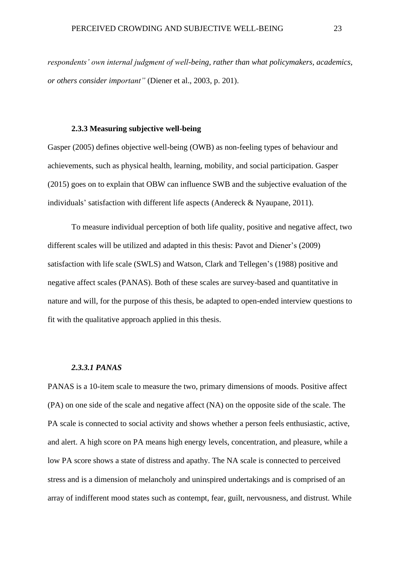*respondents' own internal judgment of well-being, rather than what policymakers, academics, or others consider important"* (Diener et al., 2003, p. 201).

#### **2.3.3 Measuring subjective well-being**

<span id="page-23-0"></span>Gasper (2005) defines objective well-being (OWB) as non-feeling types of behaviour and achievements, such as physical health, learning, mobility, and social participation. Gasper (2015) goes on to explain that OBW can influence SWB and the subjective evaluation of the individuals' satisfaction with different life aspects (Andereck & Nyaupane, 2011).

To measure individual perception of both life quality, positive and negative affect, two different scales will be utilized and adapted in this thesis: Pavot and Diener's (2009) satisfaction with life scale (SWLS) and Watson, Clark and Tellegen's (1988) positive and negative affect scales (PANAS). Both of these scales are survey-based and quantitative in nature and will, for the purpose of this thesis, be adapted to open-ended interview questions to fit with the qualitative approach applied in this thesis.

#### *2.3.3.1 PANAS*

PANAS is a 10-item scale to measure the two, primary dimensions of moods. Positive affect (PA) on one side of the scale and negative affect (NA) on the opposite side of the scale. The PA scale is connected to social activity and shows whether a person feels enthusiastic, active, and alert. A high score on PA means high energy levels, concentration, and pleasure, while a low PA score shows a state of distress and apathy. The NA scale is connected to perceived stress and is a dimension of melancholy and uninspired undertakings and is comprised of an array of indifferent mood states such as contempt, fear, guilt, nervousness, and distrust. While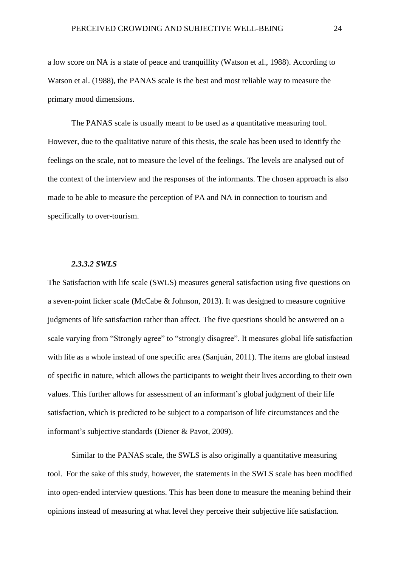a low score on NA is a state of peace and tranquillity (Watson et al., 1988). According to Watson et al. (1988), the PANAS scale is the best and most reliable way to measure the primary mood dimensions.

The PANAS scale is usually meant to be used as a quantitative measuring tool. However, due to the qualitative nature of this thesis, the scale has been used to identify the feelings on the scale, not to measure the level of the feelings. The levels are analysed out of the context of the interview and the responses of the informants. The chosen approach is also made to be able to measure the perception of PA and NA in connection to tourism and specifically to over-tourism.

#### *2.3.3.2 SWLS*

The Satisfaction with life scale (SWLS) measures general satisfaction using five questions on a seven-point licker scale (McCabe & Johnson, 2013). It was designed to measure cognitive judgments of life satisfaction rather than affect. The five questions should be answered on a scale varying from "Strongly agree" to "strongly disagree". It measures global life satisfaction with life as a whole instead of one specific area (Sanjuán, 2011). The items are global instead of specific in nature, which allows the participants to weight their lives according to their own values. This further allows for assessment of an informant's global judgment of their life satisfaction, which is predicted to be subject to a comparison of life circumstances and the informant's subjective standards (Diener & Pavot, 2009).

Similar to the PANAS scale, the SWLS is also originally a quantitative measuring tool. For the sake of this study, however, the statements in the SWLS scale has been modified into open-ended interview questions. This has been done to measure the meaning behind their opinions instead of measuring at what level they perceive their subjective life satisfaction.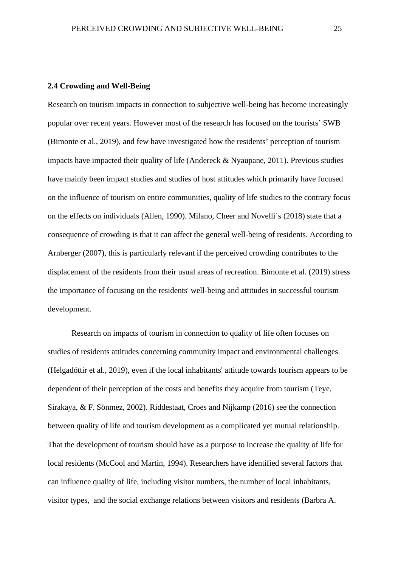# <span id="page-25-0"></span>**2.4 Crowding and Well-Being**

Research on tourism impacts in connection to subjective well-being has become increasingly popular over recent years. However most of the research has focused on the tourists' SWB (Bimonte et al., 2019), and few have investigated how the residents' perception of tourism impacts have impacted their quality of life (Andereck & Nyaupane, 2011). Previous studies have mainly been impact studies and studies of host attitudes which primarily have focused on the influence of tourism on entire communities, quality of life studies to the contrary focus on the effects on individuals (Allen, 1990). Milano, Cheer and Novelli`s (2018) state that a consequence of crowding is that it can affect the general well-being of residents. According to Arnberger (2007), this is particularly relevant if the perceived crowding contributes to the displacement of the residents from their usual areas of recreation. Bimonte et al. (2019) stress the importance of focusing on the residents' well-being and attitudes in successful tourism development.

Research on impacts of tourism in connection to quality of life often focuses on studies of residents attitudes concerning community impact and environmental challenges (Helgadóttir et al., 2019), even if the local inhabitants' attitude towards tourism appears to be dependent of their perception of the costs and benefits they acquire from tourism (Teye, Sirakaya, & F. Sönmez, 2002). Riddestaat, Croes and Nijkamp (2016) see the connection between quality of life and tourism development as a complicated yet mutual relationship. That the development of tourism should have as a purpose to increase the quality of life for local residents (McCool and Martin, 1994). Researchers have identified several factors that can influence quality of life, including visitor numbers, the number of local inhabitants, visitor types, and the social exchange relations between visitors and residents (Barbra A.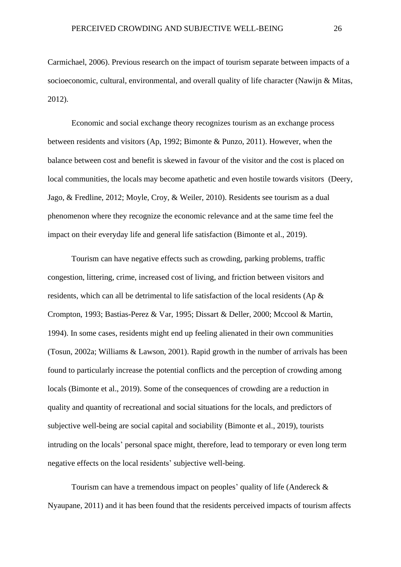Carmichael, 2006). Previous research on the impact of tourism separate between impacts of a socioeconomic, cultural, environmental, and overall quality of life character (Nawijn & Mitas, 2012).

Economic and social exchange theory recognizes tourism as an exchange process between residents and visitors (Ap, 1992; Bimonte & Punzo, 2011). However, when the balance between cost and benefit is skewed in favour of the visitor and the cost is placed on local communities, the locals may become apathetic and even hostile towards visitors (Deery, Jago, & Fredline, 2012; Moyle, Croy, & Weiler, 2010). Residents see tourism as a dual phenomenon where they recognize the economic relevance and at the same time feel the impact on their everyday life and general life satisfaction (Bimonte et al., 2019).

Tourism can have negative effects such as crowding, parking problems, traffic congestion, littering, crime, increased cost of living, and friction between visitors and residents, which can all be detrimental to life satisfaction of the local residents (Ap & Crompton, 1993; Bastias-Perez & Var, 1995; Dissart & Deller, 2000; Mccool & Martin, 1994). In some cases, residents might end up feeling alienated in their own communities (Tosun, 2002a; Williams & Lawson, 2001). Rapid growth in the number of arrivals has been found to particularly increase the potential conflicts and the perception of crowding among locals (Bimonte et al., 2019). Some of the consequences of crowding are a reduction in quality and quantity of recreational and social situations for the locals, and predictors of subjective well-being are social capital and sociability (Bimonte et al., 2019), tourists intruding on the locals' personal space might, therefore, lead to temporary or even long term negative effects on the local residents' subjective well-being.

Tourism can have a tremendous impact on peoples' quality of life (Andereck & Nyaupane, 2011) and it has been found that the residents perceived impacts of tourism affects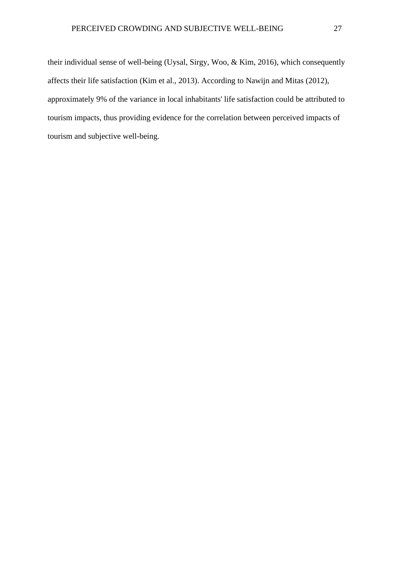their individual sense of well-being (Uysal, Sirgy, Woo, & Kim, 2016), which consequently affects their life satisfaction (Kim et al., 2013). According to Nawijn and Mitas (2012), approximately 9% of the variance in local inhabitants' life satisfaction could be attributed to tourism impacts, thus providing evidence for the correlation between perceived impacts of tourism and subjective well-being.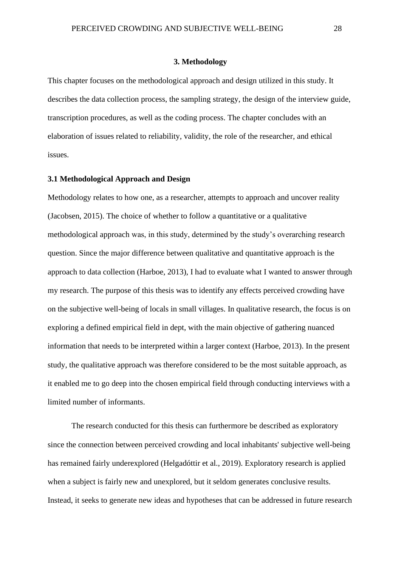#### **3. Methodology**

<span id="page-28-0"></span>This chapter focuses on the methodological approach and design utilized in this study. It describes the data collection process, the sampling strategy, the design of the interview guide, transcription procedures, as well as the coding process. The chapter concludes with an elaboration of issues related to reliability, validity, the role of the researcher, and ethical issues.

#### <span id="page-28-1"></span>**3.1 Methodological Approach and Design**

Methodology relates to how one, as a researcher, attempts to approach and uncover reality (Jacobsen, 2015). The choice of whether to follow a quantitative or a qualitative methodological approach was, in this study, determined by the study's overarching research question. Since the major difference between qualitative and quantitative approach is the approach to data collection (Harboe, 2013), I had to evaluate what I wanted to answer through my research. The purpose of this thesis was to identify any effects perceived crowding have on the subjective well-being of locals in small villages. In qualitative research, the focus is on exploring a defined empirical field in dept, with the main objective of gathering nuanced information that needs to be interpreted within a larger context (Harboe, 2013). In the present study, the qualitative approach was therefore considered to be the most suitable approach, as it enabled me to go deep into the chosen empirical field through conducting interviews with a limited number of informants.

The research conducted for this thesis can furthermore be described as exploratory since the connection between perceived crowding and local inhabitants' subjective well-being has remained fairly underexplored (Helgadóttir et al., 2019). Exploratory research is applied when a subject is fairly new and unexplored, but it seldom generates conclusive results. Instead, it seeks to generate new ideas and hypotheses that can be addressed in future research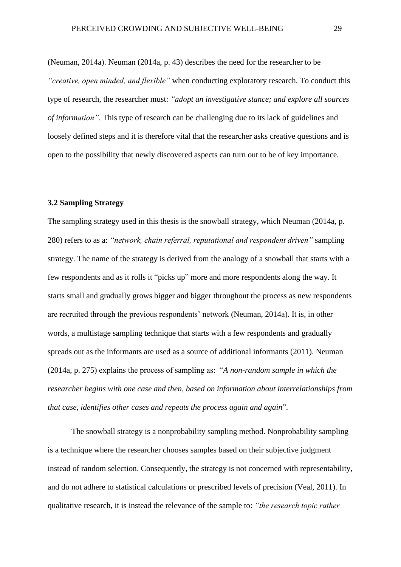(Neuman, 2014a). Neuman (2014a, p. 43) describes the need for the researcher to be *"creative, open minded, and flexible"* when conducting exploratory research. To conduct this type of research, the researcher must: *"adopt an investigative stance; and explore all sources of information".* This type of research can be challenging due to its lack of guidelines and loosely defined steps and it is therefore vital that the researcher asks creative questions and is open to the possibility that newly discovered aspects can turn out to be of key importance.

#### <span id="page-29-0"></span>**3.2 Sampling Strategy**

The sampling strategy used in this thesis is the snowball strategy, which Neuman (2014a, p. 280) refers to as a: *"network, chain referral, reputational and respondent driven"* sampling strategy. The name of the strategy is derived from the analogy of a snowball that starts with a few respondents and as it rolls it "picks up" more and more respondents along the way. It starts small and gradually grows bigger and bigger throughout the process as new respondents are recruited through the previous respondents' network (Neuman, 2014a). It is, in other words, a multistage sampling technique that starts with a few respondents and gradually spreads out as the informants are used as a source of additional informants (2011). Neuman (2014a, p. 275) explains the process of sampling as: "*A non-random sample in which the researcher begins with one case and then, based on information about interrelationships from that case, identifies other cases and repeats the process again and again*".

The snowball strategy is a nonprobability sampling method. Nonprobability sampling is a technique where the researcher chooses samples based on their subjective judgment instead of random selection. Consequently, the strategy is not concerned with representability, and do not adhere to statistical calculations or prescribed levels of precision (Veal, 2011). In qualitative research, it is instead the relevance of the sample to: *"the research topic rather*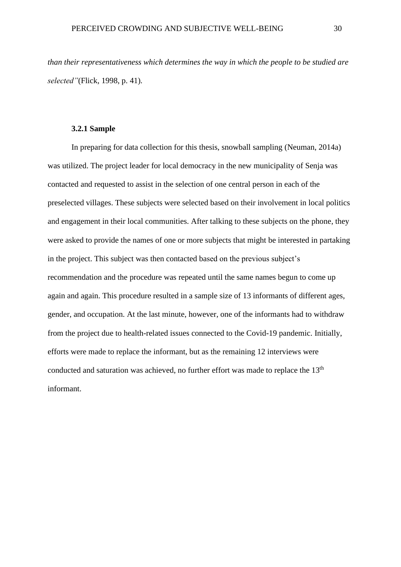*than their representativeness which determines the way in which the people to be studied are selected"*(Flick, 1998, p. 41)*.*

#### **3.2.1 Sample**

<span id="page-30-0"></span>In preparing for data collection for this thesis, snowball sampling (Neuman, 2014a) was utilized. The project leader for local democracy in the new municipality of Senja was contacted and requested to assist in the selection of one central person in each of the preselected villages. These subjects were selected based on their involvement in local politics and engagement in their local communities. After talking to these subjects on the phone, they were asked to provide the names of one or more subjects that might be interested in partaking in the project. This subject was then contacted based on the previous subject's recommendation and the procedure was repeated until the same names begun to come up again and again. This procedure resulted in a sample size of 13 informants of different ages, gender, and occupation. At the last minute, however, one of the informants had to withdraw from the project due to health-related issues connected to the Covid-19 pandemic. Initially, efforts were made to replace the informant, but as the remaining 12 interviews were conducted and saturation was achieved, no further effort was made to replace the 13<sup>th</sup> informant.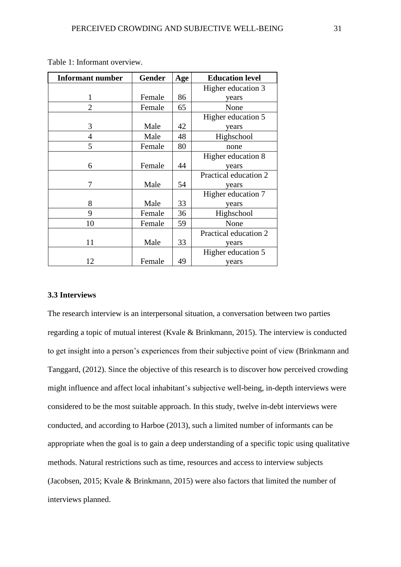| <b>Informant number</b> | <b>Gender</b> | Age | <b>Education level</b> |  |
|-------------------------|---------------|-----|------------------------|--|
|                         |               |     | Higher education 3     |  |
| 1                       | Female        | 86  | years                  |  |
| $\overline{2}$          | Female        | 65  | None                   |  |
|                         |               |     | Higher education 5     |  |
| 3                       | Male          | 42  | years                  |  |
| 4                       | Male          | 48  | Highschool             |  |
| 5                       | Female        | 80  | none                   |  |
|                         |               |     | Higher education 8     |  |
| 6                       | Female        | 44  | years                  |  |
|                         |               |     | Practical education 2  |  |
| 7                       | Male          | 54  | years                  |  |
|                         |               |     | Higher education 7     |  |
| 8                       | Male          | 33  | years                  |  |
| 9                       | Female        | 36  | Highschool             |  |
| 10                      | Female        | 59  | None                   |  |
|                         |               |     | Practical education 2  |  |
| 11                      | Male          | 33  | years                  |  |
|                         |               |     | Higher education 5     |  |
| 12                      | Female        | 49  | years                  |  |

Table 1: Informant overview.

## <span id="page-31-0"></span>**3.3 Interviews**

The research interview is an interpersonal situation, a conversation between two parties regarding a topic of mutual interest (Kvale & Brinkmann, 2015). The interview is conducted to get insight into a person's experiences from their subjective point of view (Brinkmann and Tanggard, (2012). Since the objective of this research is to discover how perceived crowding might influence and affect local inhabitant's subjective well-being, in-depth interviews were considered to be the most suitable approach. In this study, twelve in-debt interviews were conducted, and according to Harboe (2013), such a limited number of informants can be appropriate when the goal is to gain a deep understanding of a specific topic using qualitative methods. Natural restrictions such as time, resources and access to interview subjects (Jacobsen, 2015; Kvale & Brinkmann, 2015) were also factors that limited the number of interviews planned.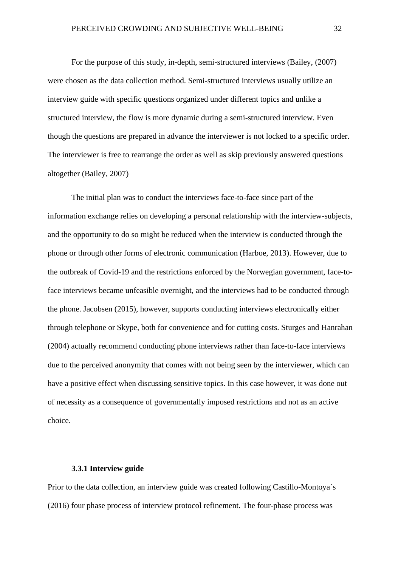For the purpose of this study, in-depth, semi-structured interviews (Bailey, (2007) were chosen as the data collection method. Semi-structured interviews usually utilize an interview guide with specific questions organized under different topics and unlike a structured interview, the flow is more dynamic during a semi-structured interview. Even though the questions are prepared in advance the interviewer is not locked to a specific order. The interviewer is free to rearrange the order as well as skip previously answered questions altogether (Bailey, 2007)

The initial plan was to conduct the interviews face-to-face since part of the information exchange relies on developing a personal relationship with the interview-subjects, and the opportunity to do so might be reduced when the interview is conducted through the phone or through other forms of electronic communication (Harboe, 2013). However, due to the outbreak of Covid-19 and the restrictions enforced by the Norwegian government, face-toface interviews became unfeasible overnight, and the interviews had to be conducted through the phone. Jacobsen (2015), however, supports conducting interviews electronically either through telephone or Skype, both for convenience and for cutting costs. Sturges and Hanrahan (2004) actually recommend conducting phone interviews rather than face-to-face interviews due to the perceived anonymity that comes with not being seen by the interviewer, which can have a positive effect when discussing sensitive topics. In this case however, it was done out of necessity as a consequence of governmentally imposed restrictions and not as an active choice.

#### **3.3.1 Interview guide**

<span id="page-32-0"></span>Prior to the data collection, an interview guide was created following Castillo-Montoya`s (2016) four phase process of interview protocol refinement. The four-phase process was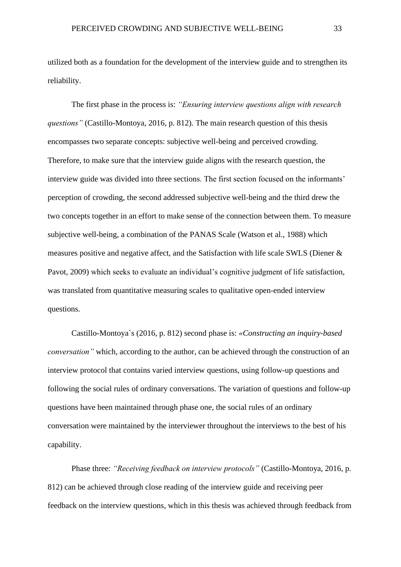utilized both as a foundation for the development of the interview guide and to strengthen its reliability.

The first phase in the process is: *"Ensuring interview questions align with research questions"* (Castillo-Montoya, 2016, p. 812)*.* The main research question of this thesis encompasses two separate concepts: subjective well-being and perceived crowding. Therefore, to make sure that the interview guide aligns with the research question, the interview guide was divided into three sections. The first section focused on the informants' perception of crowding, the second addressed subjective well-being and the third drew the two concepts together in an effort to make sense of the connection between them. To measure subjective well-being, a combination of the PANAS Scale (Watson et al., 1988) which measures positive and negative affect, and the Satisfaction with life scale SWLS (Diener  $\&$ Pavot, 2009) which seeks to evaluate an individual's cognitive judgment of life satisfaction, was translated from quantitative measuring scales to qualitative open-ended interview questions.

Castillo-Montoya`s (2016, p. 812) second phase is: *«Constructing an inquiry-based conversation"* which, according to the author, can be achieved through the construction of an interview protocol that contains varied interview questions, using follow-up questions and following the social rules of ordinary conversations. The variation of questions and follow-up questions have been maintained through phase one, the social rules of an ordinary conversation were maintained by the interviewer throughout the interviews to the best of his capability.

Phase three: *"Receiving feedback on interview protocols"* (Castillo-Montoya, 2016, p. 812) can be achieved through close reading of the interview guide and receiving peer feedback on the interview questions, which in this thesis was achieved through feedback from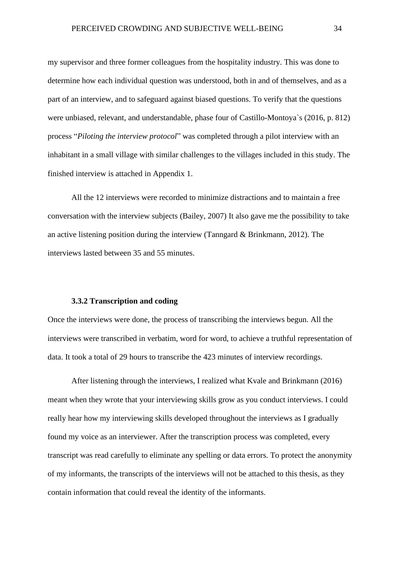my supervisor and three former colleagues from the hospitality industry. This was done to determine how each individual question was understood, both in and of themselves, and as a part of an interview, and to safeguard against biased questions. To verify that the questions were unbiased, relevant, and understandable, phase four of Castillo-Montoya`s (2016, p. 812) process "*Piloting the interview protocol*" was completed through a pilot interview with an inhabitant in a small village with similar challenges to the villages included in this study. The finished interview is attached in Appendix 1.

All the 12 interviews were recorded to minimize distractions and to maintain a free conversation with the interview subjects (Bailey, 2007) It also gave me the possibility to take an active listening position during the interview (Tanngard & Brinkmann, 2012). The interviews lasted between 35 and 55 minutes.

#### **3.3.2 Transcription and coding**

<span id="page-34-0"></span>Once the interviews were done, the process of transcribing the interviews begun. All the interviews were transcribed in verbatim, word for word, to achieve a truthful representation of data. It took a total of 29 hours to transcribe the 423 minutes of interview recordings.

After listening through the interviews, I realized what Kvale and Brinkmann (2016) meant when they wrote that your interviewing skills grow as you conduct interviews. I could really hear how my interviewing skills developed throughout the interviews as I gradually found my voice as an interviewer. After the transcription process was completed, every transcript was read carefully to eliminate any spelling or data errors. To protect the anonymity of my informants, the transcripts of the interviews will not be attached to this thesis, as they contain information that could reveal the identity of the informants.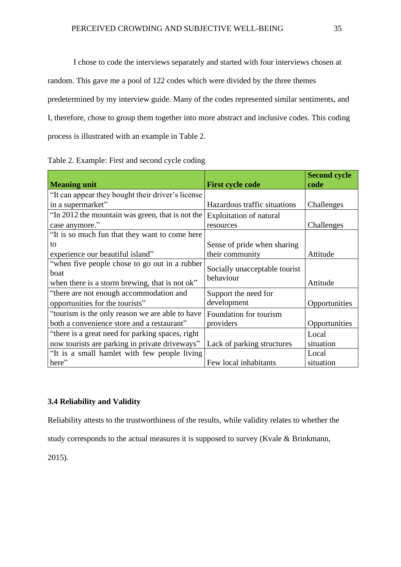I chose to code the interviews separately and started with four interviews chosen at random. This gave me a pool of 122 codes which were divided by the three themes predetermined by my interview guide. Many of the codes represented similar sentiments, and I, therefore, chose to group them together into more abstract and inclusive codes. This coding process is illustrated with an example in Table 2.

| <b>Meaning unit</b>                               | <b>First cycle code</b>        | <b>Second cycle</b><br>code |
|---------------------------------------------------|--------------------------------|-----------------------------|
| "It can appear they bought their driver's license |                                |                             |
| in a supermarket"                                 | Hazardous traffic situations   | Challenges                  |
| "In 2012 the mountain was green, that is not the  | <b>Exploitation of natural</b> |                             |
| case anymore."                                    | resources                      | Challenges                  |
| "It is so much fun that they want to come here    |                                |                             |
| to                                                | Sense of pride when sharing    |                             |
| experience our beautiful island"                  | their community                | Attitude                    |
| "when five people chose to go out in a rubber"    | Socially unacceptable tourist  |                             |
| boat                                              | behaviour                      |                             |
| when there is a storm brewing, that is not ok"    |                                | Attitude                    |
| "there are not enough accommodation and           | Support the need for           |                             |
| opportunities for the tourists"                   | development                    | Opportunities               |
| "tourism is the only reason we are able to have   | Foundation for tourism         |                             |
| both a convenience store and a restaurant"        | providers                      | Opportunities               |
| "there is a great need for parking spaces, right  |                                | Local                       |
| now tourists are parking in private driveways"    | Lack of parking structures     | situation                   |
| "It is a small hamlet with few people living      |                                | Local                       |
| here"                                             | Few local inhabitants          | situation                   |

# <span id="page-35-0"></span>**3.4 Reliability and Validity**

Reliability attests to the trustworthiness of the results, while validity relates to whether the

study corresponds to the actual measures it is supposed to survey (Kvale & Brinkmann,

2015).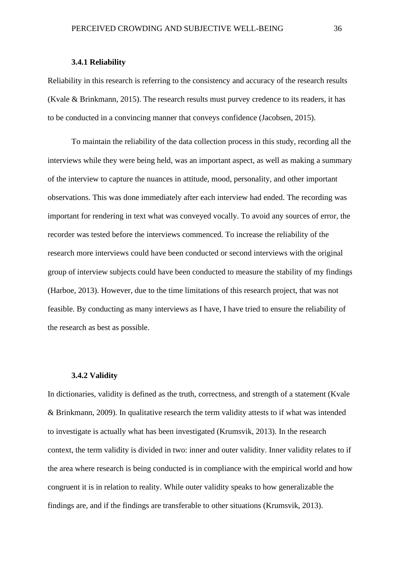#### **3.4.1 Reliability**

Reliability in this research is referring to the consistency and accuracy of the research results (Kvale & Brinkmann, 2015). The research results must purvey credence to its readers, it has to be conducted in a convincing manner that conveys confidence (Jacobsen, 2015).

To maintain the reliability of the data collection process in this study, recording all the interviews while they were being held, was an important aspect, as well as making a summary of the interview to capture the nuances in attitude, mood, personality, and other important observations. This was done immediately after each interview had ended. The recording was important for rendering in text what was conveyed vocally. To avoid any sources of error, the recorder was tested before the interviews commenced. To increase the reliability of the research more interviews could have been conducted or second interviews with the original group of interview subjects could have been conducted to measure the stability of my findings (Harboe, 2013). However, due to the time limitations of this research project, that was not feasible. By conducting as many interviews as I have, I have tried to ensure the reliability of the research as best as possible.

### **3.4.2 Validity**

In dictionaries, validity is defined as the truth, correctness, and strength of a statement (Kvale & Brinkmann, 2009). In qualitative research the term validity attests to if what was intended to investigate is actually what has been investigated (Krumsvik, 2013). In the research context, the term validity is divided in two: inner and outer validity. Inner validity relates to if the area where research is being conducted is in compliance with the empirical world and how congruent it is in relation to reality. While outer validity speaks to how generalizable the findings are, and if the findings are transferable to other situations (Krumsvik, 2013).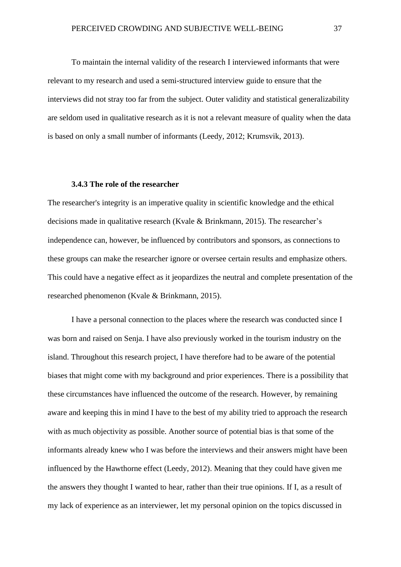To maintain the internal validity of the research I interviewed informants that were relevant to my research and used a semi-structured interview guide to ensure that the interviews did not stray too far from the subject. Outer validity and statistical generalizability are seldom used in qualitative research as it is not a relevant measure of quality when the data is based on only a small number of informants (Leedy, 2012; Krumsvik, 2013).

## **3.4.3 The role of the researcher**

The researcher's integrity is an imperative quality in scientific knowledge and the ethical decisions made in qualitative research (Kvale & Brinkmann, 2015). The researcher's independence can, however, be influenced by contributors and sponsors, as connections to these groups can make the researcher ignore or oversee certain results and emphasize others. This could have a negative effect as it jeopardizes the neutral and complete presentation of the researched phenomenon (Kvale & Brinkmann, 2015).

I have a personal connection to the places where the research was conducted since I was born and raised on Senja. I have also previously worked in the tourism industry on the island. Throughout this research project, I have therefore had to be aware of the potential biases that might come with my background and prior experiences. There is a possibility that these circumstances have influenced the outcome of the research. However, by remaining aware and keeping this in mind I have to the best of my ability tried to approach the research with as much objectivity as possible. Another source of potential bias is that some of the informants already knew who I was before the interviews and their answers might have been influenced by the Hawthorne effect (Leedy, 2012). Meaning that they could have given me the answers they thought I wanted to hear, rather than their true opinions. If I, as a result of my lack of experience as an interviewer, let my personal opinion on the topics discussed in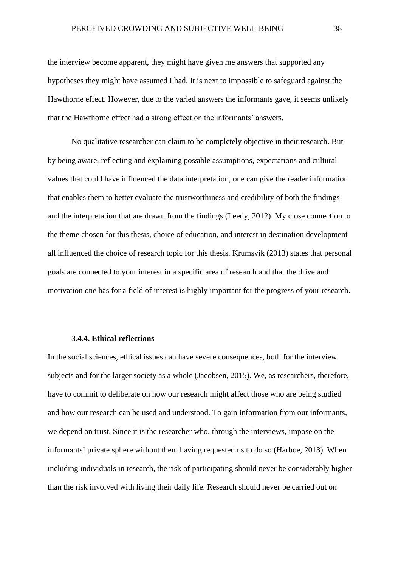the interview become apparent, they might have given me answers that supported any hypotheses they might have assumed I had. It is next to impossible to safeguard against the Hawthorne effect. However, due to the varied answers the informants gave, it seems unlikely that the Hawthorne effect had a strong effect on the informants' answers.

No qualitative researcher can claim to be completely objective in their research. But by being aware, reflecting and explaining possible assumptions, expectations and cultural values that could have influenced the data interpretation, one can give the reader information that enables them to better evaluate the trustworthiness and credibility of both the findings and the interpretation that are drawn from the findings (Leedy, 2012). My close connection to the theme chosen for this thesis, choice of education, and interest in destination development all influenced the choice of research topic for this thesis. Krumsvik (2013) states that personal goals are connected to your interest in a specific area of research and that the drive and motivation one has for a field of interest is highly important for the progress of your research.

# **3.4.4. Ethical reflections**

In the social sciences, ethical issues can have severe consequences, both for the interview subjects and for the larger society as a whole (Jacobsen, 2015). We, as researchers, therefore, have to commit to deliberate on how our research might affect those who are being studied and how our research can be used and understood. To gain information from our informants, we depend on trust. Since it is the researcher who, through the interviews, impose on the informants' private sphere without them having requested us to do so (Harboe, 2013). When including individuals in research, the risk of participating should never be considerably higher than the risk involved with living their daily life. Research should never be carried out on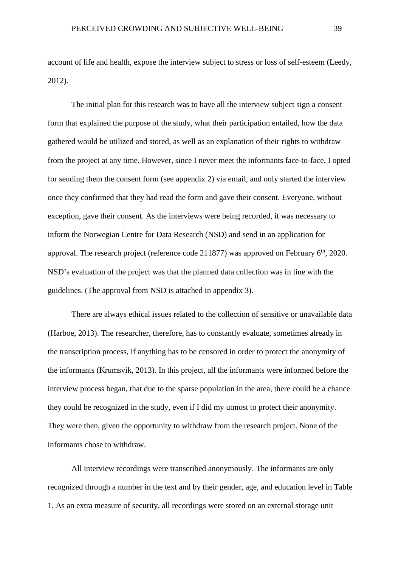account of life and health, expose the interview subject to stress or loss of self-esteem (Leedy, 2012).

The initial plan for this research was to have all the interview subject sign a consent form that explained the purpose of the study, what their participation entailed, how the data gathered would be utilized and stored, as well as an explanation of their rights to withdraw from the project at any time. However, since I never meet the informants face-to-face, I opted for sending them the consent form (see appendix 2) via email, and only started the interview once they confirmed that they had read the form and gave their consent. Everyone, without exception, gave their consent. As the interviews were being recorded, it was necessary to inform the Norwegian Centre for Data Research (NSD) and send in an application for approval. The research project (reference code 211877) was approved on February  $6<sup>th</sup>$ , 2020. NSD's evaluation of the project was that the planned data collection was in line with the guidelines. (The approval from NSD is attached in appendix 3).

There are always ethical issues related to the collection of sensitive or unavailable data (Harboe, 2013). The researcher, therefore, has to constantly evaluate, sometimes already in the transcription process, if anything has to be censored in order to protect the anonymity of the informants (Krumsvik, 2013). In this project, all the informants were informed before the interview process began, that due to the sparse population in the area, there could be a chance they could be recognized in the study, even if I did my utmost to protect their anonymity. They were then, given the opportunity to withdraw from the research project. None of the informants chose to withdraw.

All interview recordings were transcribed anonymously. The informants are only recognized through a number in the text and by their gender, age, and education level in Table 1. As an extra measure of security, all recordings were stored on an external storage unit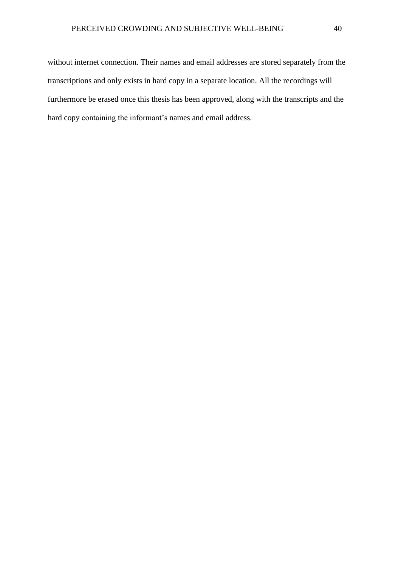without internet connection. Their names and email addresses are stored separately from the transcriptions and only exists in hard copy in a separate location. All the recordings will furthermore be erased once this thesis has been approved, along with the transcripts and the hard copy containing the informant's names and email address.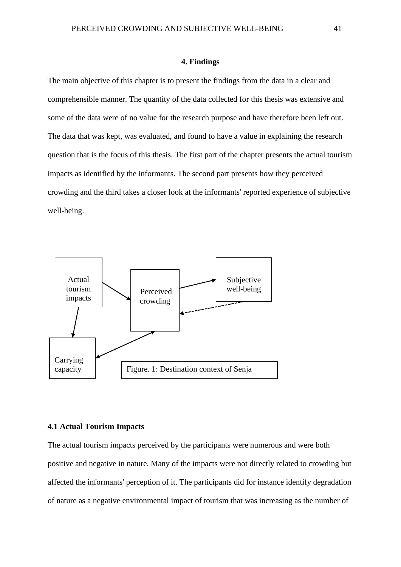#### **4. Findings**

The main objective of this chapter is to present the findings from the data in a clear and comprehensible manner. The quantity of the data collected for this thesis was extensive and some of the data were of no value for the research purpose and have therefore been left out. The data that was kept, was evaluated, and found to have a value in explaining the research question that is the focus of this thesis. The first part of the chapter presents the actual tourism impacts as identified by the informants. The second part presents how they perceived crowding and the third takes a closer look at the informants' reported experience of subjective well-being.



### **4.1 Actual Tourism Impacts**

The actual tourism impacts perceived by the participants were numerous and were both positive and negative in nature. Many of the impacts were not directly related to crowding but affected the informants' perception of it. The participants did for instance identify degradation of nature as a negative environmental impact of tourism that was increasing as the number of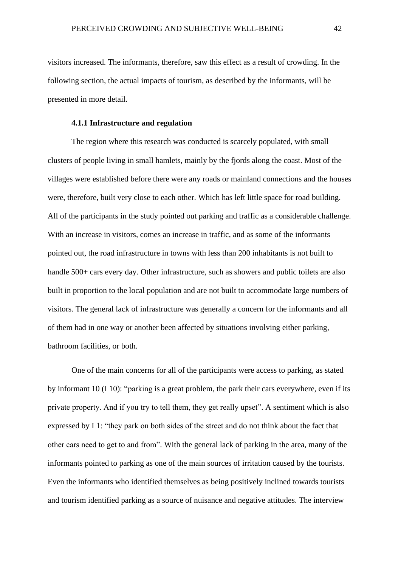visitors increased. The informants, therefore, saw this effect as a result of crowding. In the following section, the actual impacts of tourism, as described by the informants, will be presented in more detail.

### **4.1.1 Infrastructure and regulation**

The region where this research was conducted is scarcely populated, with small clusters of people living in small hamlets, mainly by the fjords along the coast. Most of the villages were established before there were any roads or mainland connections and the houses were, therefore, built very close to each other. Which has left little space for road building. All of the participants in the study pointed out parking and traffic as a considerable challenge. With an increase in visitors, comes an increase in traffic, and as some of the informants pointed out, the road infrastructure in towns with less than 200 inhabitants is not built to handle 500+ cars every day. Other infrastructure, such as showers and public toilets are also built in proportion to the local population and are not built to accommodate large numbers of visitors. The general lack of infrastructure was generally a concern for the informants and all of them had in one way or another been affected by situations involving either parking, bathroom facilities, or both.

One of the main concerns for all of the participants were access to parking, as stated by informant 10 (I 10): "parking is a great problem, the park their cars everywhere, even if its private property. And if you try to tell them, they get really upset". A sentiment which is also expressed by I 1: "they park on both sides of the street and do not think about the fact that other cars need to get to and from". With the general lack of parking in the area, many of the informants pointed to parking as one of the main sources of irritation caused by the tourists. Even the informants who identified themselves as being positively inclined towards tourists and tourism identified parking as a source of nuisance and negative attitudes. The interview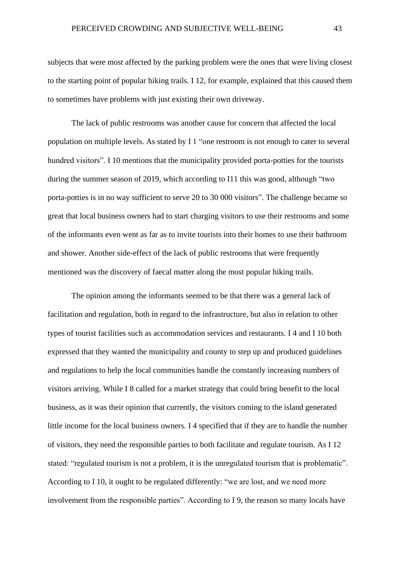subjects that were most affected by the parking problem were the ones that were living closest to the starting point of popular hiking trails. I 12, for example, explained that this caused them to sometimes have problems with just existing their own driveway.

The lack of public restrooms was another cause for concern that affected the local population on multiple levels. As stated by I 1 "one restroom is not enough to cater to several hundred visitors". I 10 mentions that the municipality provided porta-potties for the tourists during the summer season of 2019, which according to I11 this was good, although "two porta-potties is in no way sufficient to serve 20 to 30 000 visitors". The challenge became so great that local business owners had to start charging visitors to use their restrooms and some of the informants even went as far as to invite tourists into their homes to use their bathroom and shower. Another side-effect of the lack of public restrooms that were frequently mentioned was the discovery of faecal matter along the most popular hiking trails.

The opinion among the informants seemed to be that there was a general lack of facilitation and regulation, both in regard to the infrastructure, but also in relation to other types of tourist facilities such as accommodation services and restaurants. I 4 and I 10 both expressed that they wanted the municipality and county to step up and produced guidelines and regulations to help the local communities handle the constantly increasing numbers of visitors arriving. While I 8 called for a market strategy that could bring benefit to the local business, as it was their opinion that currently, the visitors coming to the island generated little income for the local business owners. I 4 specified that if they are to handle the number of visitors, they need the responsible parties to both facilitate and regulate tourism. As I 12 stated: "regulated tourism is not a problem, it is the unregulated tourism that is problematic". According to I 10, it ought to be regulated differently: "we are lost, and we need more involvement from the responsible parties". According to I 9, the reason so many locals have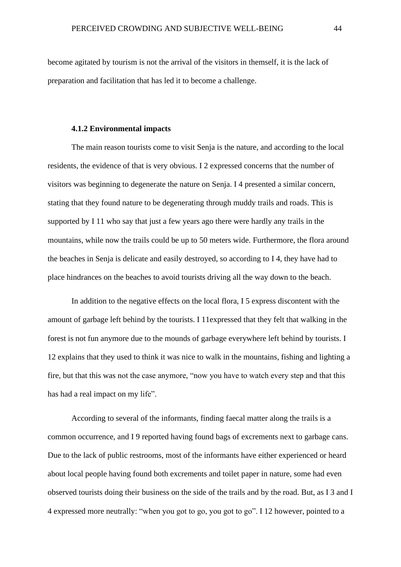become agitated by tourism is not the arrival of the visitors in themself, it is the lack of preparation and facilitation that has led it to become a challenge.

### **4.1.2 Environmental impacts**

The main reason tourists come to visit Senja is the nature, and according to the local residents, the evidence of that is very obvious. I 2 expressed concerns that the number of visitors was beginning to degenerate the nature on Senja. I 4 presented a similar concern, stating that they found nature to be degenerating through muddy trails and roads. This is supported by I 11 who say that just a few years ago there were hardly any trails in the mountains, while now the trails could be up to 50 meters wide. Furthermore, the flora around the beaches in Senja is delicate and easily destroyed, so according to I 4, they have had to place hindrances on the beaches to avoid tourists driving all the way down to the beach.

In addition to the negative effects on the local flora, I 5 express discontent with the amount of garbage left behind by the tourists. I 11expressed that they felt that walking in the forest is not fun anymore due to the mounds of garbage everywhere left behind by tourists. I 12 explains that they used to think it was nice to walk in the mountains, fishing and lighting a fire, but that this was not the case anymore, "now you have to watch every step and that this has had a real impact on my life".

According to several of the informants, finding faecal matter along the trails is a common occurrence, and I 9 reported having found bags of excrements next to garbage cans. Due to the lack of public restrooms, most of the informants have either experienced or heard about local people having found both excrements and toilet paper in nature, some had even observed tourists doing their business on the side of the trails and by the road. But, as I 3 and I 4 expressed more neutrally: "when you got to go, you got to go". I 12 however, pointed to a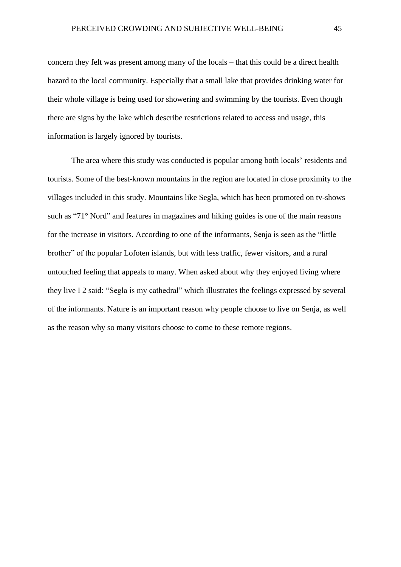concern they felt was present among many of the locals – that this could be a direct health hazard to the local community. Especially that a small lake that provides drinking water for their whole village is being used for showering and swimming by the tourists. Even though there are signs by the lake which describe restrictions related to access and usage, this information is largely ignored by tourists.

The area where this study was conducted is popular among both locals' residents and tourists. Some of the best-known mountains in the region are located in close proximity to the villages included in this study. Mountains like Segla, which has been promoted on tv-shows such as "71° Nord" and features in magazines and hiking guides is one of the main reasons for the increase in visitors. According to one of the informants, Senja is seen as the "little brother" of the popular Lofoten islands, but with less traffic, fewer visitors, and a rural untouched feeling that appeals to many. When asked about why they enjoyed living where they live I 2 said: "Segla is my cathedral" which illustrates the feelings expressed by several of the informants. Nature is an important reason why people choose to live on Senja, as well as the reason why so many visitors choose to come to these remote regions.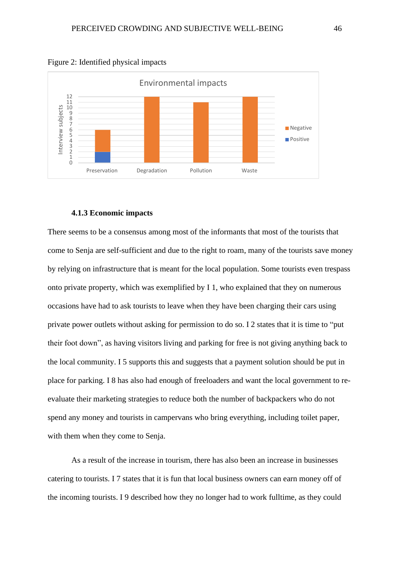



### **4.1.3 Economic impacts**

There seems to be a consensus among most of the informants that most of the tourists that come to Senja are self-sufficient and due to the right to roam, many of the tourists save money by relying on infrastructure that is meant for the local population. Some tourists even trespass onto private property, which was exemplified by I 1, who explained that they on numerous occasions have had to ask tourists to leave when they have been charging their cars using private power outlets without asking for permission to do so. I 2 states that it is time to "put their foot down", as having visitors living and parking for free is not giving anything back to the local community. I 5 supports this and suggests that a payment solution should be put in place for parking. I 8 has also had enough of freeloaders and want the local government to reevaluate their marketing strategies to reduce both the number of backpackers who do not spend any money and tourists in campervans who bring everything, including toilet paper, with them when they come to Senja.

As a result of the increase in tourism, there has also been an increase in businesses catering to tourists. I 7 states that it is fun that local business owners can earn money off of the incoming tourists. I 9 described how they no longer had to work fulltime, as they could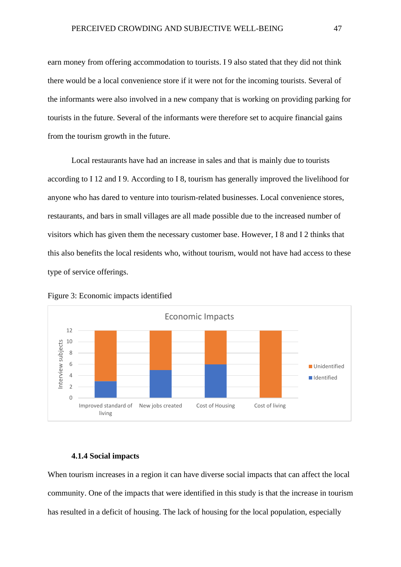earn money from offering accommodation to tourists. I 9 also stated that they did not think there would be a local convenience store if it were not for the incoming tourists. Several of the informants were also involved in a new company that is working on providing parking for tourists in the future. Several of the informants were therefore set to acquire financial gains from the tourism growth in the future.

Local restaurants have had an increase in sales and that is mainly due to tourists according to I 12 and I 9. According to I 8, tourism has generally improved the livelihood for anyone who has dared to venture into tourism-related businesses. Local convenience stores, restaurants, and bars in small villages are all made possible due to the increased number of visitors which has given them the necessary customer base. However, I 8 and I 2 thinks that this also benefits the local residents who, without tourism, would not have had access to these type of service offerings.





### **4.1.4 Social impacts**

When tourism increases in a region it can have diverse social impacts that can affect the local community. One of the impacts that were identified in this study is that the increase in tourism has resulted in a deficit of housing. The lack of housing for the local population, especially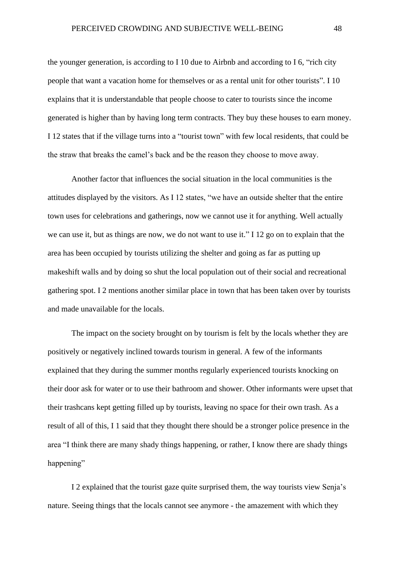the younger generation, is according to I 10 due to Airbnb and according to I 6, "rich city people that want a vacation home for themselves or as a rental unit for other tourists". I 10 explains that it is understandable that people choose to cater to tourists since the income generated is higher than by having long term contracts. They buy these houses to earn money. I 12 states that if the village turns into a "tourist town" with few local residents, that could be the straw that breaks the camel's back and be the reason they choose to move away.

Another factor that influences the social situation in the local communities is the attitudes displayed by the visitors. As I 12 states, "we have an outside shelter that the entire town uses for celebrations and gatherings, now we cannot use it for anything. Well actually we can use it, but as things are now, we do not want to use it." I 12 go on to explain that the area has been occupied by tourists utilizing the shelter and going as far as putting up makeshift walls and by doing so shut the local population out of their social and recreational gathering spot. I 2 mentions another similar place in town that has been taken over by tourists and made unavailable for the locals.

The impact on the society brought on by tourism is felt by the locals whether they are positively or negatively inclined towards tourism in general. A few of the informants explained that they during the summer months regularly experienced tourists knocking on their door ask for water or to use their bathroom and shower. Other informants were upset that their trashcans kept getting filled up by tourists, leaving no space for their own trash. As a result of all of this, I 1 said that they thought there should be a stronger police presence in the area "I think there are many shady things happening, or rather, I know there are shady things happening"

I 2 explained that the tourist gaze quite surprised them, the way tourists view Senja's nature. Seeing things that the locals cannot see anymore - the amazement with which they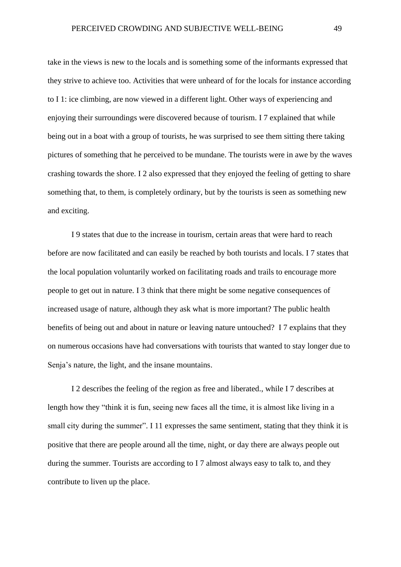take in the views is new to the locals and is something some of the informants expressed that they strive to achieve too. Activities that were unheard of for the locals for instance according to I 1: ice climbing, are now viewed in a different light. Other ways of experiencing and enjoying their surroundings were discovered because of tourism. I 7 explained that while being out in a boat with a group of tourists, he was surprised to see them sitting there taking pictures of something that he perceived to be mundane. The tourists were in awe by the waves crashing towards the shore. I 2 also expressed that they enjoyed the feeling of getting to share something that, to them, is completely ordinary, but by the tourists is seen as something new and exciting.

I 9 states that due to the increase in tourism, certain areas that were hard to reach before are now facilitated and can easily be reached by both tourists and locals. I 7 states that the local population voluntarily worked on facilitating roads and trails to encourage more people to get out in nature. I 3 think that there might be some negative consequences of increased usage of nature, although they ask what is more important? The public health benefits of being out and about in nature or leaving nature untouched? I 7 explains that they on numerous occasions have had conversations with tourists that wanted to stay longer due to Senja's nature, the light, and the insane mountains.

I 2 describes the feeling of the region as free and liberated., while I 7 describes at length how they "think it is fun, seeing new faces all the time, it is almost like living in a small city during the summer". I 11 expresses the same sentiment, stating that they think it is positive that there are people around all the time, night, or day there are always people out during the summer. Tourists are according to I 7 almost always easy to talk to, and they contribute to liven up the place.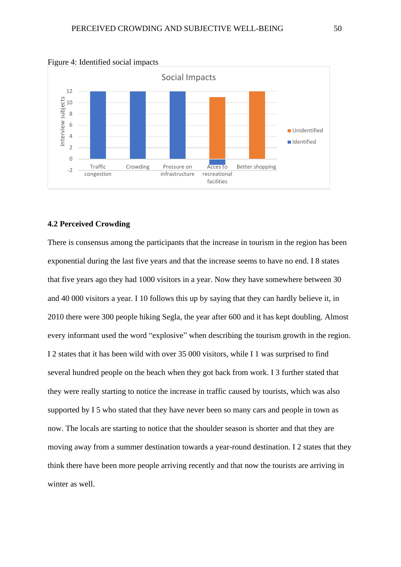

Figure 4: Identified social impacts

### **4.2 Perceived Crowding**

There is consensus among the participants that the increase in tourism in the region has been exponential during the last five years and that the increase seems to have no end. I 8 states that five years ago they had 1000 visitors in a year. Now they have somewhere between 30 and 40 000 visitors a year. I 10 follows this up by saying that they can hardly believe it, in 2010 there were 300 people hiking Segla, the year after 600 and it has kept doubling. Almost every informant used the word "explosive" when describing the tourism growth in the region. I 2 states that it has been wild with over 35 000 visitors, while I 1 was surprised to find several hundred people on the beach when they got back from work. I 3 further stated that they were really starting to notice the increase in traffic caused by tourists, which was also supported by I 5 who stated that they have never been so many cars and people in town as now. The locals are starting to notice that the shoulder season is shorter and that they are moving away from a summer destination towards a year-round destination. I 2 states that they think there have been more people arriving recently and that now the tourists are arriving in winter as well.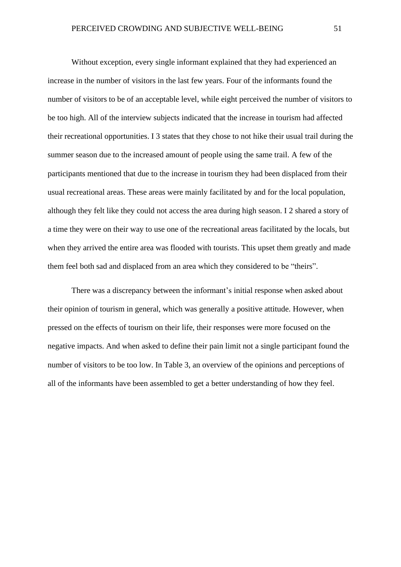Without exception, every single informant explained that they had experienced an increase in the number of visitors in the last few years. Four of the informants found the number of visitors to be of an acceptable level, while eight perceived the number of visitors to be too high. All of the interview subjects indicated that the increase in tourism had affected their recreational opportunities. I 3 states that they chose to not hike their usual trail during the summer season due to the increased amount of people using the same trail. A few of the participants mentioned that due to the increase in tourism they had been displaced from their usual recreational areas. These areas were mainly facilitated by and for the local population, although they felt like they could not access the area during high season. I 2 shared a story of a time they were on their way to use one of the recreational areas facilitated by the locals, but when they arrived the entire area was flooded with tourists. This upset them greatly and made them feel both sad and displaced from an area which they considered to be "theirs".

There was a discrepancy between the informant's initial response when asked about their opinion of tourism in general, which was generally a positive attitude. However, when pressed on the effects of tourism on their life, their responses were more focused on the negative impacts. And when asked to define their pain limit not a single participant found the number of visitors to be too low. In Table 3, an overview of the opinions and perceptions of all of the informants have been assembled to get a better understanding of how they feel.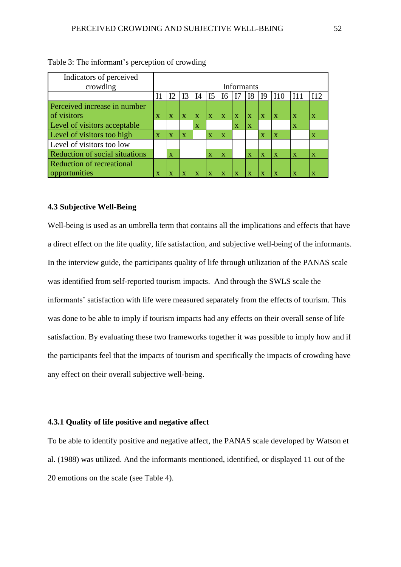| Indicators of perceived               |                         |                         |                         |              |                         |                         |              |                |                         |                         |                         |                         |
|---------------------------------------|-------------------------|-------------------------|-------------------------|--------------|-------------------------|-------------------------|--------------|----------------|-------------------------|-------------------------|-------------------------|-------------------------|
| crowding                              | Informants              |                         |                         |              |                         |                         |              |                |                         |                         |                         |                         |
|                                       |                         | I2                      | 13                      | $I$ 4        | I <sub>5</sub>          | <b>I6</b>               | I7           | I <sub>8</sub> | I <sub>9</sub>          | 110                     | I11                     | 112                     |
| Perceived increase in number          |                         |                         |                         |              |                         |                         |              |                |                         |                         |                         |                         |
| of visitors                           | $\mathbf x$             | $\mathbf x$             | $\mathbf x$             | $\mathbf{X}$ | $\mathbf{x}$            | $\mathbf{X}$            | $\mathbf{X}$ | $\mathbf{X}$   | $\mathbf{X}$            | $\mathbf{X}$            | $\mathbf{X}$            | $\overline{\mathbf{X}}$ |
| Level of visitors acceptable          |                         |                         |                         | $\mathbf x$  |                         |                         | $\mathbf x$  | $\mathbf{X}$   |                         |                         | $\mathbf x$             |                         |
| Level of visitors too high            | $\overline{\mathbf{X}}$ | $\mathbf x$             | $\overline{\mathbf{X}}$ |              | $\mathbf x$             | $\overline{\mathbf{X}}$ |              |                | $\overline{\mathbf{X}}$ | $\overline{\mathbf{X}}$ |                         | $\mathbf x$             |
| Level of visitors too low             |                         |                         |                         |              |                         |                         |              |                |                         |                         |                         |                         |
| <b>Reduction of social situations</b> |                         | $\overline{\mathbf{X}}$ |                         |              | $\overline{\mathbf{X}}$ | $\mathbf X$             |              | $\mathbf{X}$   | $\mathbf x$             | $\overline{\mathbf{X}}$ | $\overline{\mathbf{X}}$ | $\overline{\mathbf{X}}$ |
| <b>Reduction of recreational</b>      |                         |                         |                         |              |                         |                         |              |                |                         |                         |                         |                         |
| opportunities                         | x                       | Х                       | x                       |              |                         | $\mathbf x$             | $\bf{X}$     |                |                         | $\mathbf{x}$            | $\mathbf x$             | X                       |

| Table 3: The informant's perception of crowding |  |  |
|-------------------------------------------------|--|--|
|-------------------------------------------------|--|--|

# **4.3 Subjective Well-Being**

Well-being is used as an umbrella term that contains all the implications and effects that have a direct effect on the life quality, life satisfaction, and subjective well-being of the informants. In the interview guide, the participants quality of life through utilization of the PANAS scale was identified from self-reported tourism impacts. And through the SWLS scale the informants' satisfaction with life were measured separately from the effects of tourism. This was done to be able to imply if tourism impacts had any effects on their overall sense of life satisfaction. By evaluating these two frameworks together it was possible to imply how and if the participants feel that the impacts of tourism and specifically the impacts of crowding have any effect on their overall subjective well-being.

# **4.3.1 Quality of life positive and negative affect**

To be able to identify positive and negative affect, the PANAS scale developed by Watson et al. (1988) was utilized. And the informants mentioned, identified, or displayed 11 out of the 20 emotions on the scale (see Table 4).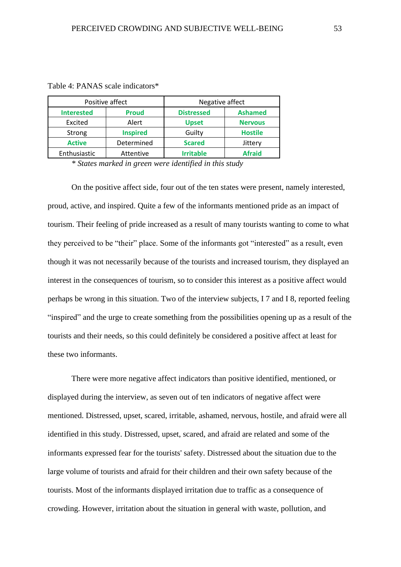|                   | Positive affect | Negative affect   |                |  |  |  |  |
|-------------------|-----------------|-------------------|----------------|--|--|--|--|
| <b>Interested</b> | <b>Proud</b>    | <b>Distressed</b> | <b>Ashamed</b> |  |  |  |  |
| Excited           | Alert           | <b>Upset</b>      | <b>Nervous</b> |  |  |  |  |
| Strong            | <b>Inspired</b> | Guilty            | <b>Hostile</b> |  |  |  |  |
| <b>Active</b>     | Determined      | <b>Scared</b>     | Jittery        |  |  |  |  |
| Enthusiastic      | Attentive       | <b>Irritable</b>  | <b>Afraid</b>  |  |  |  |  |

Table 4: PANAS scale indicators\*

*\* States marked in green were identified in this study*

On the positive affect side, four out of the ten states were present, namely interested, proud, active, and inspired. Quite a few of the informants mentioned pride as an impact of tourism. Their feeling of pride increased as a result of many tourists wanting to come to what they perceived to be "their" place. Some of the informants got "interested" as a result, even though it was not necessarily because of the tourists and increased tourism, they displayed an interest in the consequences of tourism, so to consider this interest as a positive affect would perhaps be wrong in this situation. Two of the interview subjects, I 7 and I 8, reported feeling "inspired" and the urge to create something from the possibilities opening up as a result of the tourists and their needs, so this could definitely be considered a positive affect at least for these two informants.

There were more negative affect indicators than positive identified, mentioned, or displayed during the interview, as seven out of ten indicators of negative affect were mentioned. Distressed, upset, scared, irritable, ashamed, nervous, hostile, and afraid were all identified in this study. Distressed, upset, scared, and afraid are related and some of the informants expressed fear for the tourists' safety. Distressed about the situation due to the large volume of tourists and afraid for their children and their own safety because of the tourists. Most of the informants displayed irritation due to traffic as a consequence of crowding. However, irritation about the situation in general with waste, pollution, and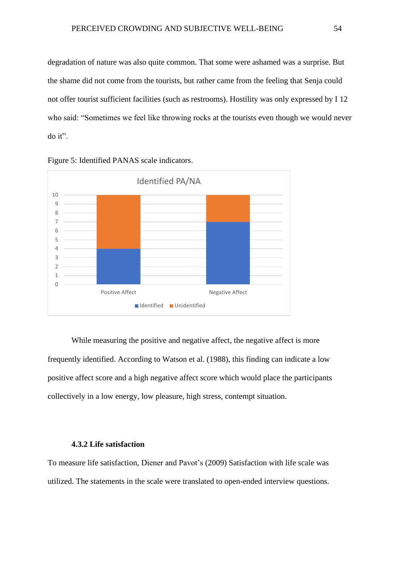degradation of nature was also quite common. That some were ashamed was a surprise. But the shame did not come from the tourists, but rather came from the feeling that Senja could not offer tourist sufficient facilities (such as restrooms). Hostility was only expressed by I 12 who said: "Sometimes we feel like throwing rocks at the tourists even though we would never do it".





While measuring the positive and negative affect, the negative affect is more frequently identified. According to Watson et al. (1988), this finding can indicate a low positive affect score and a high negative affect score which would place the participants collectively in a low energy, low pleasure, high stress, contempt situation.

#### **4.3.2 Life satisfaction**

To measure life satisfaction, Diener and Pavot's (2009) Satisfaction with life scale was utilized. The statements in the scale were translated to open-ended interview questions.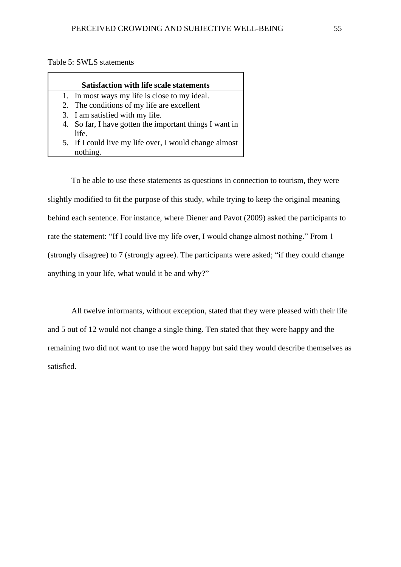Table 5: SWLS statements

### **Satisfaction with life scale statements**

- 1. In most ways my life is close to my ideal.
- 2. The conditions of my life are excellent
- 3. I am satisfied with my life.
- 4. So far, I have gotten the important things I want in life.
- 5. If I could live my life over, I would change almost nothing.

To be able to use these statements as questions in connection to tourism, they were slightly modified to fit the purpose of this study, while trying to keep the original meaning behind each sentence. For instance, where Diener and Pavot (2009) asked the participants to rate the statement: "If I could live my life over, I would change almost nothing." From 1 (strongly disagree) to 7 (strongly agree). The participants were asked; "if they could change anything in your life, what would it be and why?"

All twelve informants, without exception, stated that they were pleased with their life and 5 out of 12 would not change a single thing. Ten stated that they were happy and the remaining two did not want to use the word happy but said they would describe themselves as satisfied.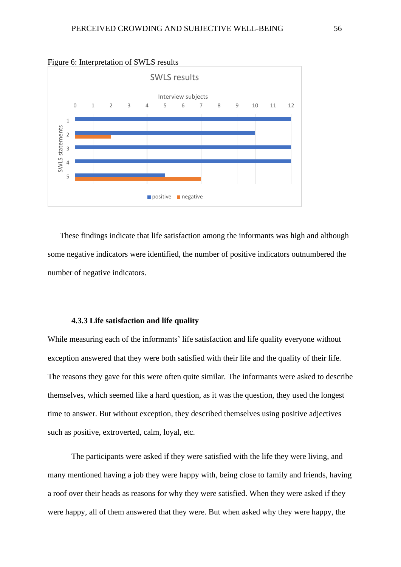

#### Figure 6: Interpretation of SWLS results

These findings indicate that life satisfaction among the informants was high and although some negative indicators were identified, the number of positive indicators outnumbered the number of negative indicators.

# **4.3.3 Life satisfaction and life quality**

While measuring each of the informants' life satisfaction and life quality everyone without exception answered that they were both satisfied with their life and the quality of their life. The reasons they gave for this were often quite similar. The informants were asked to describe themselves, which seemed like a hard question, as it was the question, they used the longest time to answer. But without exception, they described themselves using positive adjectives such as positive, extroverted, calm, loyal, etc.

The participants were asked if they were satisfied with the life they were living, and many mentioned having a job they were happy with, being close to family and friends, having a roof over their heads as reasons for why they were satisfied. When they were asked if they were happy, all of them answered that they were. But when asked why they were happy, the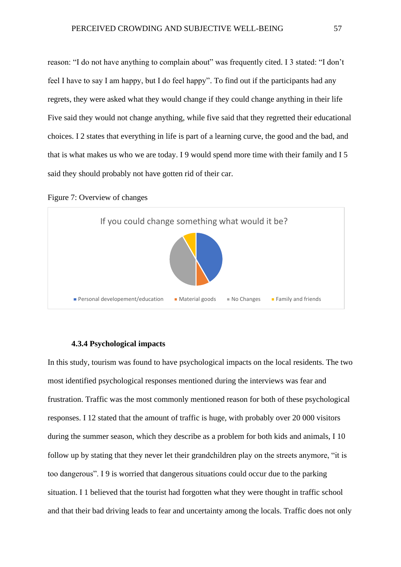reason: "I do not have anything to complain about" was frequently cited. I 3 stated: "I don't feel I have to say I am happy, but I do feel happy". To find out if the participants had any regrets, they were asked what they would change if they could change anything in their life Five said they would not change anything, while five said that they regretted their educational choices. I 2 states that everything in life is part of a learning curve, the good and the bad, and that is what makes us who we are today. I 9 would spend more time with their family and I 5 said they should probably not have gotten rid of their car.





### **4.3.4 Psychological impacts**

In this study, tourism was found to have psychological impacts on the local residents. The two most identified psychological responses mentioned during the interviews was fear and frustration. Traffic was the most commonly mentioned reason for both of these psychological responses. I 12 stated that the amount of traffic is huge, with probably over 20 000 visitors during the summer season, which they describe as a problem for both kids and animals, I 10 follow up by stating that they never let their grandchildren play on the streets anymore, "it is too dangerous". I 9 is worried that dangerous situations could occur due to the parking situation. I 1 believed that the tourist had forgotten what they were thought in traffic school and that their bad driving leads to fear and uncertainty among the locals. Traffic does not only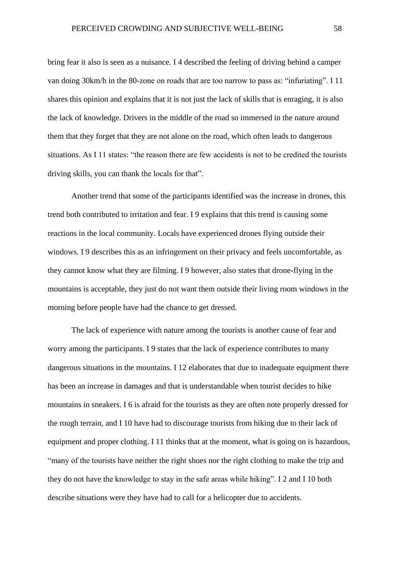bring fear it also is seen as a nuisance. I 4 described the feeling of driving behind a camper van doing 30km/h in the 80-zone on roads that are too narrow to pass as: "infuriating". I 11 shares this opinion and explains that it is not just the lack of skills that is enraging, it is also the lack of knowledge. Drivers in the middle of the road so immersed in the nature around them that they forget that they are not alone on the road, which often leads to dangerous situations. As I 11 states: "the reason there are few accidents is not to be credited the tourists driving skills, you can thank the locals for that".

Another trend that some of the participants identified was the increase in drones, this trend both contributed to irritation and fear. I 9 explains that this trend is causing some reactions in the local community. Locals have experienced drones flying outside their windows. I 9 describes this as an infringement on their privacy and feels uncomfortable, as they cannot know what they are filming. I 9 however, also states that drone-flying in the mountains is acceptable, they just do not want them outside their living room windows in the morning before people have had the chance to get dressed.

The lack of experience with nature among the tourists is another cause of fear and worry among the participants. I 9 states that the lack of experience contributes to many dangerous situations in the mountains. I 12 elaborates that due to inadequate equipment there has been an increase in damages and that is understandable when tourist decides to hike mountains in sneakers. I 6 is afraid for the tourists as they are often note properly dressed for the rough terrain, and I 10 have had to discourage tourists from hiking due to their lack of equipment and proper clothing. I 11 thinks that at the moment, what is going on is hazardous, "many of the tourists have neither the right shoes nor the right clothing to make the trip and they do not have the knowledge to stay in the safe areas while hiking". I 2 and I 10 both describe situations were they have had to call for a helicopter due to accidents.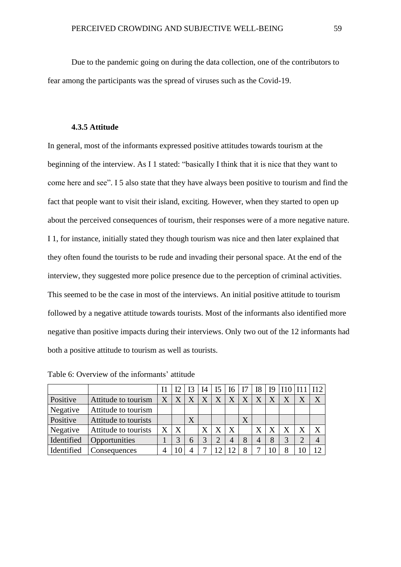Due to the pandemic going on during the data collection, one of the contributors to fear among the participants was the spread of viruses such as the Covid-19.

#### **4.3.5 Attitude**

In general, most of the informants expressed positive attitudes towards tourism at the beginning of the interview. As I 1 stated: "basically I think that it is nice that they want to come here and see". I 5 also state that they have always been positive to tourism and find the fact that people want to visit their island, exciting. However, when they started to open up about the perceived consequences of tourism, their responses were of a more negative nature. I 1, for instance, initially stated they though tourism was nice and then later explained that they often found the tourists to be rude and invading their personal space. At the end of the interview, they suggested more police presence due to the perception of criminal activities. This seemed to be the case in most of the interviews. An initial positive attitude to tourism followed by a negative attitude towards tourists. Most of the informants also identified more negative than positive impacts during their interviews. Only two out of the 12 informants had both a positive attitude to tourism as well as tourists.

|            |                      |                   | 12 |   | I4 | I5 | I6             |   | I8 | I9 |  | 112 |
|------------|----------------------|-------------------|----|---|----|----|----------------|---|----|----|--|-----|
| Positive   | Attitude to tourism  | X                 |    |   |    | Χ  | X              | Χ |    |    |  |     |
| Negative   | Attitude to tourism  |                   |    |   |    |    |                |   |    |    |  |     |
| Positive   | Attitude to tourists |                   |    | X |    |    |                | X |    |    |  |     |
| Negative   | Attitude to tourists | $\rm\overline{X}$ | X  |   | Χ  |    | X              |   |    |    |  |     |
| Identified | Opportunities        |                   |    | 6 | 3  | 2  | $\overline{4}$ | 8 | 4  |    |  |     |
| Identified | Consequences         |                   |    |   |    |    |                | 8 |    |    |  | 12  |

Table 6: Overview of the informants' attitude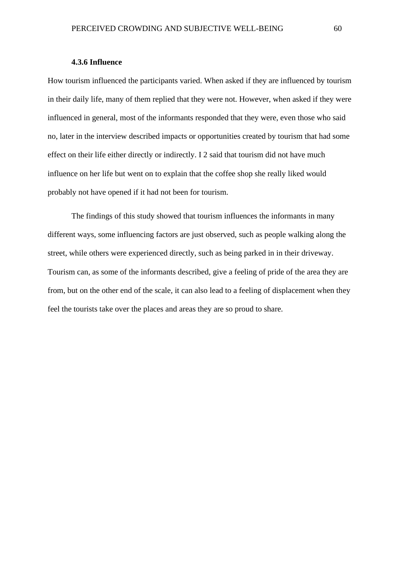# **4.3.6 Influence**

How tourism influenced the participants varied. When asked if they are influenced by tourism in their daily life, many of them replied that they were not. However, when asked if they were influenced in general, most of the informants responded that they were, even those who said no, later in the interview described impacts or opportunities created by tourism that had some effect on their life either directly or indirectly. I 2 said that tourism did not have much influence on her life but went on to explain that the coffee shop she really liked would probably not have opened if it had not been for tourism.

The findings of this study showed that tourism influences the informants in many different ways, some influencing factors are just observed, such as people walking along the street, while others were experienced directly, such as being parked in in their driveway. Tourism can, as some of the informants described, give a feeling of pride of the area they are from, but on the other end of the scale, it can also lead to a feeling of displacement when they feel the tourists take over the places and areas they are so proud to share.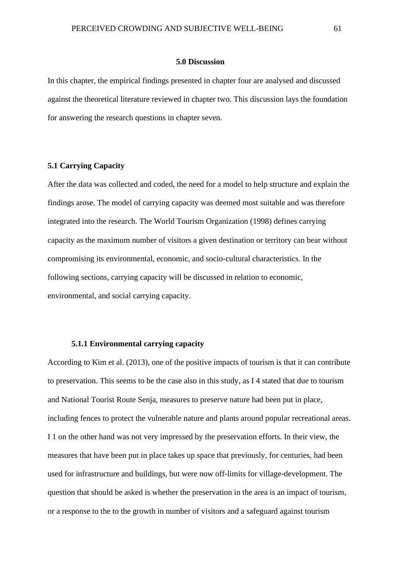#### **5.0 Discussion**

In this chapter, the empirical findings presented in chapter four are analysed and discussed against the theoretical literature reviewed in chapter two. This discussion lays the foundation for answering the research questions in chapter seven.

# **5.1 Carrying Capacity**

After the data was collected and coded, the need for a model to help structure and explain the findings arose. The model of carrying capacity was deemed most suitable and was therefore integrated into the research. The World Tourism Organization (1998) defines carrying capacity as the maximum number of visitors a given destination or territory can bear without compromising its environmental, economic, and socio-cultural characteristics. In the following sections, carrying capacity will be discussed in relation to economic, environmental, and social carrying capacity.

### **5.1.1 Environmental carrying capacity**

According to Kim et al. (2013), one of the positive impacts of tourism is that it can contribute to preservation. This seems to be the case also in this study, as I 4 stated that due to tourism and National Tourist Route Senja, measures to preserve nature had been put in place, including fences to protect the vulnerable nature and plants around popular recreational areas. I 1 on the other hand was not very impressed by the preservation efforts. In their view, the measures that have been put in place takes up space that previously, for centuries, had been used for infrastructure and buildings, but were now off-limits for village-development. The question that should be asked is whether the preservation in the area is an impact of tourism, or a response to the to the growth in number of visitors and a safeguard against tourism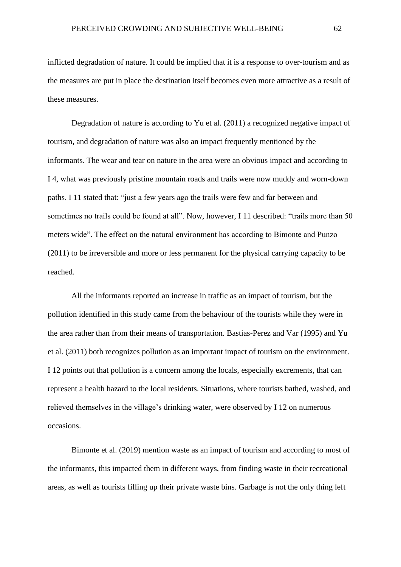inflicted degradation of nature. It could be implied that it is a response to over-tourism and as the measures are put in place the destination itself becomes even more attractive as a result of these measures.

Degradation of nature is according to Yu et al. (2011) a recognized negative impact of tourism, and degradation of nature was also an impact frequently mentioned by the informants. The wear and tear on nature in the area were an obvious impact and according to I 4, what was previously pristine mountain roads and trails were now muddy and worn-down paths. I 11 stated that: "just a few years ago the trails were few and far between and sometimes no trails could be found at all". Now, however, I 11 described: "trails more than 50 meters wide". The effect on the natural environment has according to Bimonte and Punzo (2011) to be irreversible and more or less permanent for the physical carrying capacity to be reached.

All the informants reported an increase in traffic as an impact of tourism, but the pollution identified in this study came from the behaviour of the tourists while they were in the area rather than from their means of transportation. Bastias-Perez and Var (1995) and Yu et al. (2011) both recognizes pollution as an important impact of tourism on the environment. I 12 points out that pollution is a concern among the locals, especially excrements, that can represent a health hazard to the local residents. Situations, where tourists bathed, washed, and relieved themselves in the village's drinking water, were observed by I 12 on numerous occasions.

Bimonte et al. (2019) mention waste as an impact of tourism and according to most of the informants, this impacted them in different ways, from finding waste in their recreational areas, as well as tourists filling up their private waste bins. Garbage is not the only thing left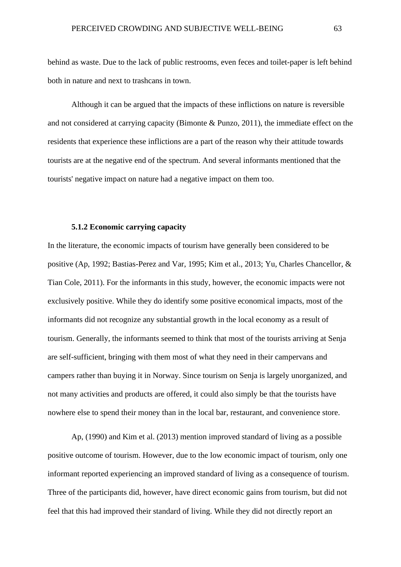behind as waste. Due to the lack of public restrooms, even feces and toilet-paper is left behind both in nature and next to trashcans in town.

Although it can be argued that the impacts of these inflictions on nature is reversible and not considered at carrying capacity (Bimonte & Punzo, 2011), the immediate effect on the residents that experience these inflictions are a part of the reason why their attitude towards tourists are at the negative end of the spectrum. And several informants mentioned that the tourists' negative impact on nature had a negative impact on them too.

## **5.1.2 Economic carrying capacity**

In the literature, the economic impacts of tourism have generally been considered to be positive (Ap, 1992; Bastias-Perez and Var, 1995; Kim et al., 2013; Yu, Charles Chancellor, & Tian Cole, 2011). For the informants in this study, however, the economic impacts were not exclusively positive. While they do identify some positive economical impacts, most of the informants did not recognize any substantial growth in the local economy as a result of tourism. Generally, the informants seemed to think that most of the tourists arriving at Senja are self-sufficient, bringing with them most of what they need in their campervans and campers rather than buying it in Norway. Since tourism on Senja is largely unorganized, and not many activities and products are offered, it could also simply be that the tourists have nowhere else to spend their money than in the local bar, restaurant, and convenience store.

Ap, (1990) and Kim et al. (2013) mention improved standard of living as a possible positive outcome of tourism. However, due to the low economic impact of tourism, only one informant reported experiencing an improved standard of living as a consequence of tourism. Three of the participants did, however, have direct economic gains from tourism, but did not feel that this had improved their standard of living. While they did not directly report an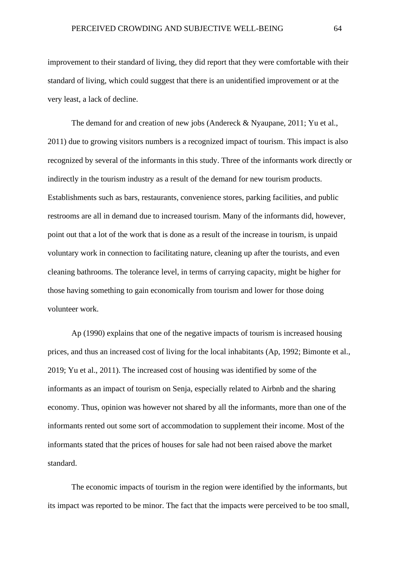improvement to their standard of living, they did report that they were comfortable with their standard of living, which could suggest that there is an unidentified improvement or at the very least, a lack of decline.

The demand for and creation of new jobs (Andereck & Nyaupane, 2011; Yu et al., 2011) due to growing visitors numbers is a recognized impact of tourism. This impact is also recognized by several of the informants in this study. Three of the informants work directly or indirectly in the tourism industry as a result of the demand for new tourism products. Establishments such as bars, restaurants, convenience stores, parking facilities, and public restrooms are all in demand due to increased tourism. Many of the informants did, however, point out that a lot of the work that is done as a result of the increase in tourism, is unpaid voluntary work in connection to facilitating nature, cleaning up after the tourists, and even cleaning bathrooms. The tolerance level, in terms of carrying capacity, might be higher for those having something to gain economically from tourism and lower for those doing volunteer work.

Ap (1990) explains that one of the negative impacts of tourism is increased housing prices, and thus an increased cost of living for the local inhabitants (Ap, 1992; Bimonte et al., 2019; Yu et al., 2011). The increased cost of housing was identified by some of the informants as an impact of tourism on Senja, especially related to Airbnb and the sharing economy. Thus, opinion was however not shared by all the informants, more than one of the informants rented out some sort of accommodation to supplement their income. Most of the informants stated that the prices of houses for sale had not been raised above the market standard.

The economic impacts of tourism in the region were identified by the informants, but its impact was reported to be minor. The fact that the impacts were perceived to be too small,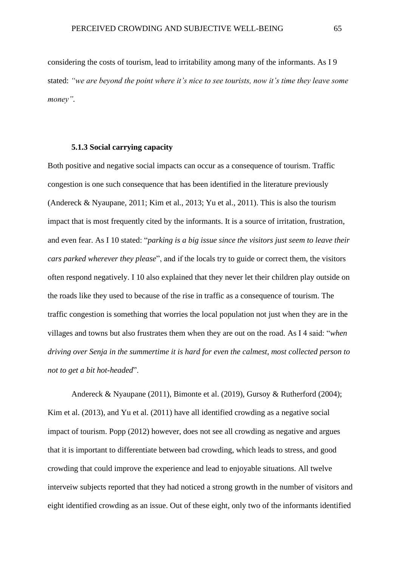considering the costs of tourism, lead to irritability among many of the informants. As I 9 stated: *"we are beyond the point where it's nice to see tourists, now it's time they leave some money".*

### **5.1.3 Social carrying capacity**

Both positive and negative social impacts can occur as a consequence of tourism. Traffic congestion is one such consequence that has been identified in the literature previously (Andereck & Nyaupane, 2011; Kim et al., 2013; Yu et al., 2011). This is also the tourism impact that is most frequently cited by the informants. It is a source of irritation, frustration, and even fear. As I 10 stated: "*parking is a big issue since the visitors just seem to leave their cars parked wherever they please*", and if the locals try to guide or correct them, the visitors often respond negatively. I 10 also explained that they never let their children play outside on the roads like they used to because of the rise in traffic as a consequence of tourism. The traffic congestion is something that worries the local population not just when they are in the villages and towns but also frustrates them when they are out on the road. As I 4 said: "*when driving over Senja in the summertime it is hard for even the calmest, most collected person to not to get a bit hot-headed*".

Andereck & Nyaupane (2011), Bimonte et al. (2019), Gursoy & Rutherford (2004); Kim et al. (2013), and Yu et al. (2011) have all identified crowding as a negative social impact of tourism. Popp (2012) however, does not see all crowding as negative and argues that it is important to differentiate between bad crowding, which leads to stress, and good crowding that could improve the experience and lead to enjoyable situations. All twelve interveiw subjects reported that they had noticed a strong growth in the number of visitors and eight identified crowding as an issue. Out of these eight, only two of the informants identified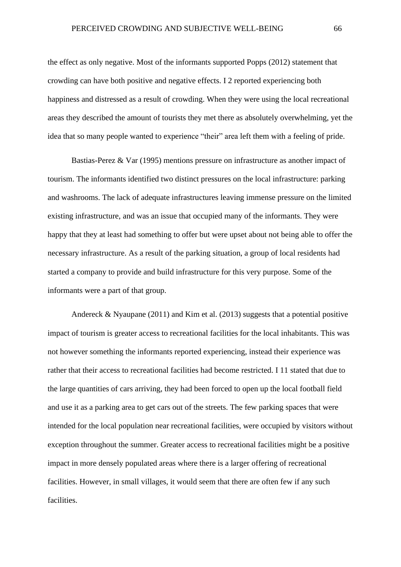the effect as only negative. Most of the informants supported Popps (2012) statement that crowding can have both positive and negative effects. I 2 reported experiencing both happiness and distressed as a result of crowding. When they were using the local recreational areas they described the amount of tourists they met there as absolutely overwhelming, yet the idea that so many people wanted to experience "their" area left them with a feeling of pride.

Bastias-Perez & Var (1995) mentions pressure on infrastructure as another impact of tourism. The informants identified two distinct pressures on the local infrastructure: parking and washrooms. The lack of adequate infrastructures leaving immense pressure on the limited existing infrastructure, and was an issue that occupied many of the informants. They were happy that they at least had something to offer but were upset about not being able to offer the necessary infrastructure. As a result of the parking situation, a group of local residents had started a company to provide and build infrastructure for this very purpose. Some of the informants were a part of that group.

Andereck & Nyaupane (2011) and Kim et al. (2013) suggests that a potential positive impact of tourism is greater access to recreational facilities for the local inhabitants. This was not however something the informants reported experiencing, instead their experience was rather that their access to recreational facilities had become restricted. I 11 stated that due to the large quantities of cars arriving, they had been forced to open up the local football field and use it as a parking area to get cars out of the streets. The few parking spaces that were intended for the local population near recreational facilities, were occupied by visitors without exception throughout the summer. Greater access to recreational facilities might be a positive impact in more densely populated areas where there is a larger offering of recreational facilities. However, in small villages, it would seem that there are often few if any such facilities.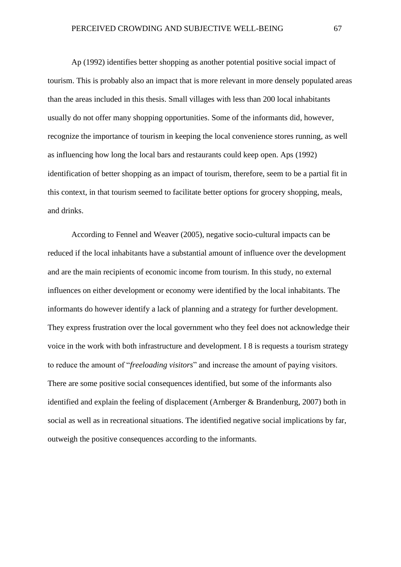Ap (1992) identifies better shopping as another potential positive social impact of tourism. This is probably also an impact that is more relevant in more densely populated areas than the areas included in this thesis. Small villages with less than 200 local inhabitants usually do not offer many shopping opportunities. Some of the informants did, however, recognize the importance of tourism in keeping the local convenience stores running, as well as influencing how long the local bars and restaurants could keep open. Aps (1992) identification of better shopping as an impact of tourism, therefore, seem to be a partial fit in this context, in that tourism seemed to facilitate better options for grocery shopping, meals, and drinks.

According to Fennel and Weaver (2005), negative socio-cultural impacts can be reduced if the local inhabitants have a substantial amount of influence over the development and are the main recipients of economic income from tourism. In this study, no external influences on either development or economy were identified by the local inhabitants. The informants do however identify a lack of planning and a strategy for further development. They express frustration over the local government who they feel does not acknowledge their voice in the work with both infrastructure and development. I 8 is requests a tourism strategy to reduce the amount of "*freeloading visitors*" and increase the amount of paying visitors. There are some positive social consequences identified, but some of the informants also identified and explain the feeling of displacement (Arnberger & Brandenburg, 2007) both in social as well as in recreational situations. The identified negative social implications by far, outweigh the positive consequences according to the informants.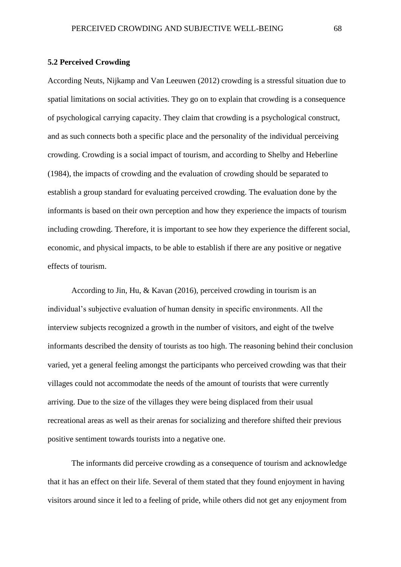### **5.2 Perceived Crowding**

According Neuts, Nijkamp and Van Leeuwen (2012) crowding is a stressful situation due to spatial limitations on social activities. They go on to explain that crowding is a consequence of psychological carrying capacity. They claim that crowding is a psychological construct, and as such connects both a specific place and the personality of the individual perceiving crowding. Crowding is a social impact of tourism, and according to Shelby and Heberline (1984), the impacts of crowding and the evaluation of crowding should be separated to establish a group standard for evaluating perceived crowding. The evaluation done by the informants is based on their own perception and how they experience the impacts of tourism including crowding. Therefore, it is important to see how they experience the different social, economic, and physical impacts, to be able to establish if there are any positive or negative effects of tourism.

According to Jin, Hu, & Kavan (2016), perceived crowding in tourism is an individual's subjective evaluation of human density in specific environments. All the interview subjects recognized a growth in the number of visitors, and eight of the twelve informants described the density of tourists as too high. The reasoning behind their conclusion varied, yet a general feeling amongst the participants who perceived crowding was that their villages could not accommodate the needs of the amount of tourists that were currently arriving. Due to the size of the villages they were being displaced from their usual recreational areas as well as their arenas for socializing and therefore shifted their previous positive sentiment towards tourists into a negative one.

The informants did perceive crowding as a consequence of tourism and acknowledge that it has an effect on their life. Several of them stated that they found enjoyment in having visitors around since it led to a feeling of pride, while others did not get any enjoyment from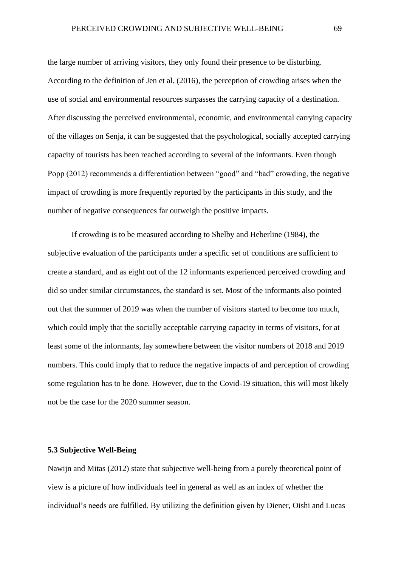the large number of arriving visitors, they only found their presence to be disturbing. According to the definition of Jen et al. (2016), the perception of crowding arises when the use of social and environmental resources surpasses the carrying capacity of a destination. After discussing the perceived environmental, economic, and environmental carrying capacity of the villages on Senja, it can be suggested that the psychological, socially accepted carrying capacity of tourists has been reached according to several of the informants. Even though Popp (2012) recommends a differentiation between "good" and "bad" crowding, the negative impact of crowding is more frequently reported by the participants in this study, and the number of negative consequences far outweigh the positive impacts.

If crowding is to be measured according to Shelby and Heberline (1984), the subjective evaluation of the participants under a specific set of conditions are sufficient to create a standard, and as eight out of the 12 informants experienced perceived crowding and did so under similar circumstances, the standard is set. Most of the informants also pointed out that the summer of 2019 was when the number of visitors started to become too much, which could imply that the socially acceptable carrying capacity in terms of visitors, for at least some of the informants, lay somewhere between the visitor numbers of 2018 and 2019 numbers. This could imply that to reduce the negative impacts of and perception of crowding some regulation has to be done. However, due to the Covid-19 situation, this will most likely not be the case for the 2020 summer season.

# **5.3 Subjective Well-Being**

Nawijn and Mitas (2012) state that subjective well-being from a purely theoretical point of view is a picture of how individuals feel in general as well as an index of whether the individual's needs are fulfilled. By utilizing the definition given by Diener, Oishi and Lucas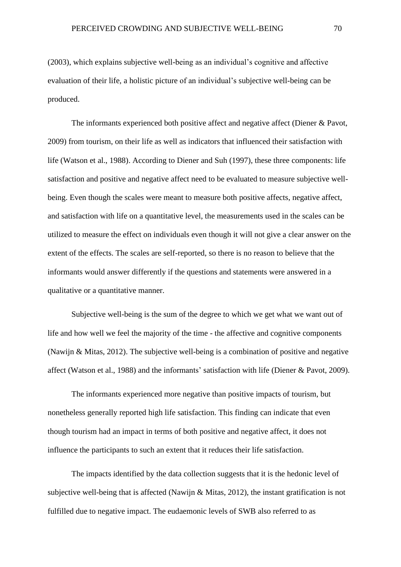(2003), which explains subjective well-being as an individual's cognitive and affective evaluation of their life, a holistic picture of an individual's subjective well-being can be produced.

The informants experienced both positive affect and negative affect (Diener & Pavot, 2009) from tourism, on their life as well as indicators that influenced their satisfaction with life (Watson et al., 1988). According to Diener and Suh (1997), these three components: life satisfaction and positive and negative affect need to be evaluated to measure subjective wellbeing. Even though the scales were meant to measure both positive affects, negative affect, and satisfaction with life on a quantitative level, the measurements used in the scales can be utilized to measure the effect on individuals even though it will not give a clear answer on the extent of the effects. The scales are self-reported, so there is no reason to believe that the informants would answer differently if the questions and statements were answered in a qualitative or a quantitative manner.

Subjective well-being is the sum of the degree to which we get what we want out of life and how well we feel the majority of the time - the affective and cognitive components (Nawijn & Mitas, 2012). The subjective well-being is a combination of positive and negative affect (Watson et al., 1988) and the informants' satisfaction with life (Diener & Pavot, 2009).

The informants experienced more negative than positive impacts of tourism, but nonetheless generally reported high life satisfaction. This finding can indicate that even though tourism had an impact in terms of both positive and negative affect, it does not influence the participants to such an extent that it reduces their life satisfaction.

The impacts identified by the data collection suggests that it is the hedonic level of subjective well-being that is affected (Nawijn & Mitas, 2012), the instant gratification is not fulfilled due to negative impact. The eudaemonic levels of SWB also referred to as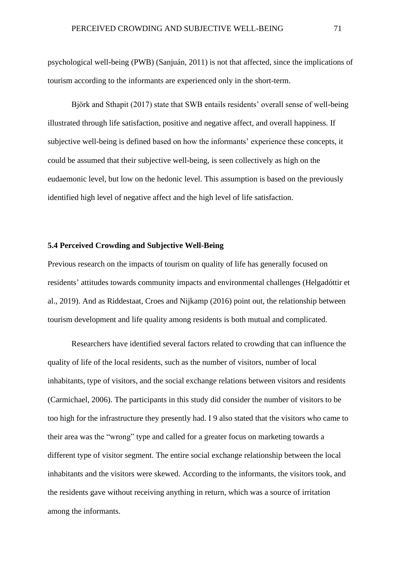psychological well-being (PWB) (Sanjuán, 2011) is not that affected, since the implications of tourism according to the informants are experienced only in the short-term.

Björk and Sthapit (2017) state that SWB entails residents' overall sense of well-being illustrated through life satisfaction, positive and negative affect, and overall happiness. If subjective well-being is defined based on how the informants' experience these concepts, it could be assumed that their subjective well-being, is seen collectively as high on the eudaemonic level, but low on the hedonic level. This assumption is based on the previously identified high level of negative affect and the high level of life satisfaction.

### **5.4 Perceived Crowding and Subjective Well-Being**

Previous research on the impacts of tourism on quality of life has generally focused on residents' attitudes towards community impacts and environmental challenges (Helgadóttir et al., 2019). And as Riddestaat, Croes and Nijkamp (2016) point out, the relationship between tourism development and life quality among residents is both mutual and complicated.

Researchers have identified several factors related to crowding that can influence the quality of life of the local residents, such as the number of visitors, number of local inhabitants, type of visitors, and the social exchange relations between visitors and residents (Carmichael, 2006). The participants in this study did consider the number of visitors to be too high for the infrastructure they presently had. I 9 also stated that the visitors who came to their area was the "wrong" type and called for a greater focus on marketing towards a different type of visitor segment. The entire social exchange relationship between the local inhabitants and the visitors were skewed. According to the informants, the visitors took, and the residents gave without receiving anything in return, which was a source of irritation among the informants.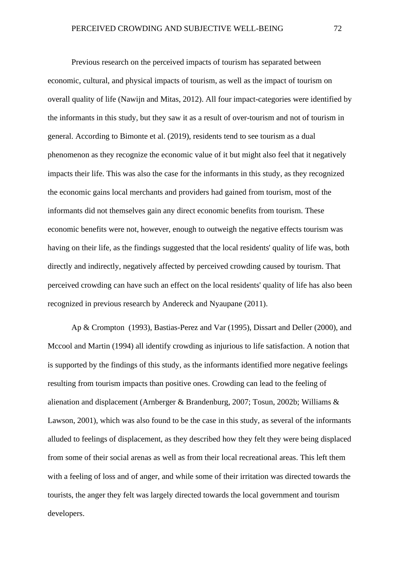Previous research on the perceived impacts of tourism has separated between economic, cultural, and physical impacts of tourism, as well as the impact of tourism on overall quality of life (Nawijn and Mitas, 2012). All four impact-categories were identified by the informants in this study, but they saw it as a result of over-tourism and not of tourism in general. According to Bimonte et al. (2019), residents tend to see tourism as a dual phenomenon as they recognize the economic value of it but might also feel that it negatively impacts their life. This was also the case for the informants in this study, as they recognized the economic gains local merchants and providers had gained from tourism, most of the informants did not themselves gain any direct economic benefits from tourism. These economic benefits were not, however, enough to outweigh the negative effects tourism was having on their life, as the findings suggested that the local residents' quality of life was, both directly and indirectly, negatively affected by perceived crowding caused by tourism. That perceived crowding can have such an effect on the local residents' quality of life has also been recognized in previous research by Andereck and Nyaupane (2011).

Ap & Crompton (1993), Bastias-Perez and Var (1995), Dissart and Deller (2000), and Mccool and Martin (1994) all identify crowding as injurious to life satisfaction. A notion that is supported by the findings of this study, as the informants identified more negative feelings resulting from tourism impacts than positive ones. Crowding can lead to the feeling of alienation and displacement (Arnberger & Brandenburg, 2007; Tosun, 2002b; Williams & Lawson, 2001), which was also found to be the case in this study, as several of the informants alluded to feelings of displacement, as they described how they felt they were being displaced from some of their social arenas as well as from their local recreational areas. This left them with a feeling of loss and of anger, and while some of their irritation was directed towards the tourists, the anger they felt was largely directed towards the local government and tourism developers.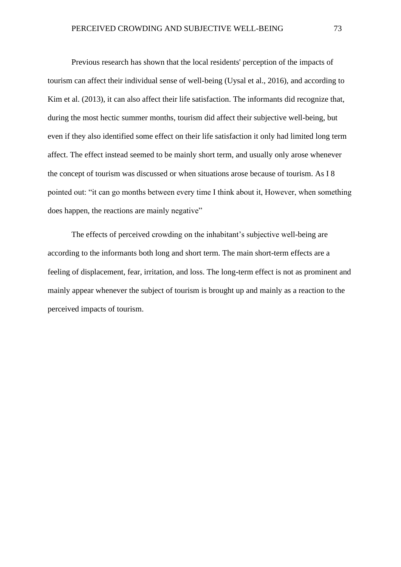Previous research has shown that the local residents' perception of the impacts of tourism can affect their individual sense of well-being (Uysal et al., 2016), and according to Kim et al. (2013), it can also affect their life satisfaction. The informants did recognize that, during the most hectic summer months, tourism did affect their subjective well-being, but even if they also identified some effect on their life satisfaction it only had limited long term affect. The effect instead seemed to be mainly short term, and usually only arose whenever the concept of tourism was discussed or when situations arose because of tourism. As I 8 pointed out: "it can go months between every time I think about it, However, when something does happen, the reactions are mainly negative"

The effects of perceived crowding on the inhabitant's subjective well-being are according to the informants both long and short term. The main short-term effects are a feeling of displacement, fear, irritation, and loss. The long-term effect is not as prominent and mainly appear whenever the subject of tourism is brought up and mainly as a reaction to the perceived impacts of tourism.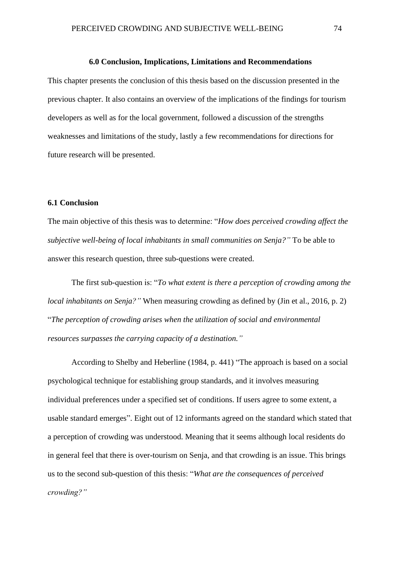#### **6.0 Conclusion, Implications, Limitations and Recommendations**

This chapter presents the conclusion of this thesis based on the discussion presented in the previous chapter. It also contains an overview of the implications of the findings for tourism developers as well as for the local government, followed a discussion of the strengths weaknesses and limitations of the study, lastly a few recommendations for directions for future research will be presented.

# **6.1 Conclusion**

The main objective of this thesis was to determine: "*How does perceived crowding affect the subjective well-being of local inhabitants in small communities on Senja?"* To be able to answer this research question, three sub-questions were created.

The first sub-question is: "*To what extent is there a perception of crowding among the local inhabitants on Senja?"* When measuring crowding as defined by (Jin et al., 2016, p. 2) "*The perception of crowding arises when the utilization of social and environmental resources surpasses the carrying capacity of a destination."*

According to Shelby and Heberline (1984, p. 441) "The approach is based on a social psychological technique for establishing group standards, and it involves measuring individual preferences under a specified set of conditions. If users agree to some extent, a usable standard emerges". Eight out of 12 informants agreed on the standard which stated that a perception of crowding was understood. Meaning that it seems although local residents do in general feel that there is over-tourism on Senja, and that crowding is an issue. This brings us to the second sub-question of this thesis: "*What are the consequences of perceived crowding?"*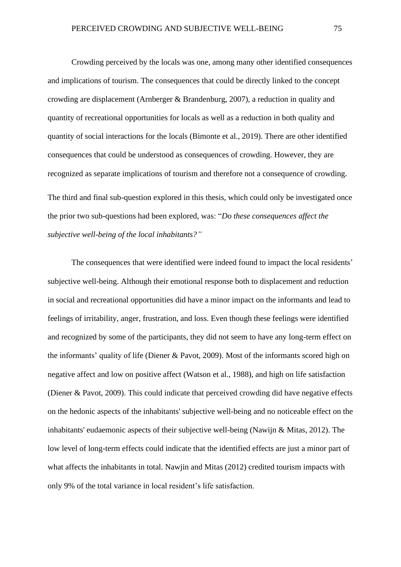Crowding perceived by the locals was one, among many other identified consequences and implications of tourism. The consequences that could be directly linked to the concept crowding are displacement (Arnberger & Brandenburg, 2007), a reduction in quality and quantity of recreational opportunities for locals as well as a reduction in both quality and quantity of social interactions for the locals (Bimonte et al., 2019). There are other identified consequences that could be understood as consequences of crowding. However, they are recognized as separate implications of tourism and therefore not a consequence of crowding. The third and final sub-question explored in this thesis, which could only be investigated once the prior two sub-questions had been explored, was: "*Do these consequences affect the subjective well-being of the local inhabitants?"* 

The consequences that were identified were indeed found to impact the local residents' subjective well-being. Although their emotional response both to displacement and reduction in social and recreational opportunities did have a minor impact on the informants and lead to feelings of irritability, anger, frustration, and loss. Even though these feelings were identified and recognized by some of the participants, they did not seem to have any long-term effect on the informants' quality of life (Diener & Pavot, 2009). Most of the informants scored high on negative affect and low on positive affect (Watson et al., 1988), and high on life satisfaction (Diener & Pavot, 2009). This could indicate that perceived crowding did have negative effects on the hedonic aspects of the inhabitants' subjective well-being and no noticeable effect on the inhabitants' eudaemonic aspects of their subjective well-being (Nawijn & Mitas, 2012). The low level of long-term effects could indicate that the identified effects are just a minor part of what affects the inhabitants in total. Nawjin and Mitas (2012) credited tourism impacts with only 9% of the total variance in local resident's life satisfaction.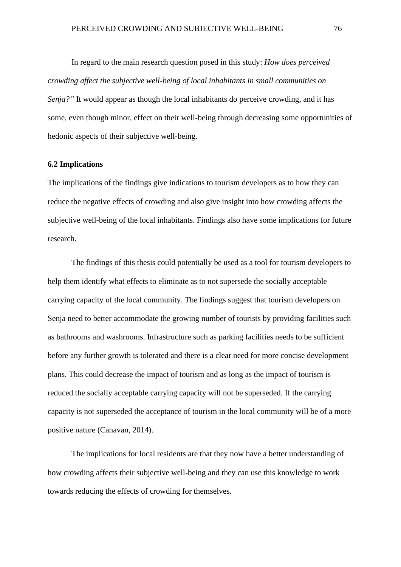In regard to the main research question posed in this study: *How does perceived crowding affect the subjective well-being of local inhabitants in small communities on Senja?"* It would appear as though the local inhabitants do perceive crowding, and it has some, even though minor, effect on their well-being through decreasing some opportunities of hedonic aspects of their subjective well-being.

#### **6.2 Implications**

The implications of the findings give indications to tourism developers as to how they can reduce the negative effects of crowding and also give insight into how crowding affects the subjective well-being of the local inhabitants. Findings also have some implications for future research.

The findings of this thesis could potentially be used as a tool for tourism developers to help them identify what effects to eliminate as to not supersede the socially acceptable carrying capacity of the local community. The findings suggest that tourism developers on Senja need to better accommodate the growing number of tourists by providing facilities such as bathrooms and washrooms. Infrastructure such as parking facilities needs to be sufficient before any further growth is tolerated and there is a clear need for more concise development plans. This could decrease the impact of tourism and as long as the impact of tourism is reduced the socially acceptable carrying capacity will not be superseded. If the carrying capacity is not superseded the acceptance of tourism in the local community will be of a more positive nature (Canavan, 2014).

The implications for local residents are that they now have a better understanding of how crowding affects their subjective well-being and they can use this knowledge to work towards reducing the effects of crowding for themselves.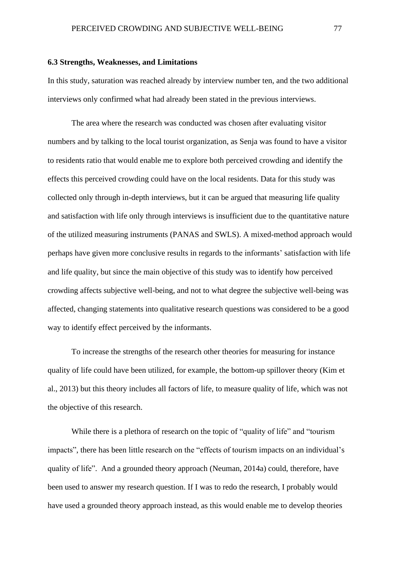#### **6.3 Strengths, Weaknesses, and Limitations**

In this study, saturation was reached already by interview number ten, and the two additional interviews only confirmed what had already been stated in the previous interviews.

The area where the research was conducted was chosen after evaluating visitor numbers and by talking to the local tourist organization, as Senja was found to have a visitor to residents ratio that would enable me to explore both perceived crowding and identify the effects this perceived crowding could have on the local residents. Data for this study was collected only through in-depth interviews, but it can be argued that measuring life quality and satisfaction with life only through interviews is insufficient due to the quantitative nature of the utilized measuring instruments (PANAS and SWLS). A mixed-method approach would perhaps have given more conclusive results in regards to the informants' satisfaction with life and life quality, but since the main objective of this study was to identify how perceived crowding affects subjective well-being, and not to what degree the subjective well-being was affected, changing statements into qualitative research questions was considered to be a good way to identify effect perceived by the informants.

To increase the strengths of the research other theories for measuring for instance quality of life could have been utilized, for example, the bottom-up spillover theory (Kim et al., 2013) but this theory includes all factors of life, to measure quality of life, which was not the objective of this research.

While there is a plethora of research on the topic of "quality of life" and "tourism impacts", there has been little research on the "effects of tourism impacts on an individual's quality of life". And a grounded theory approach (Neuman, 2014a) could, therefore, have been used to answer my research question. If I was to redo the research, I probably would have used a grounded theory approach instead, as this would enable me to develop theories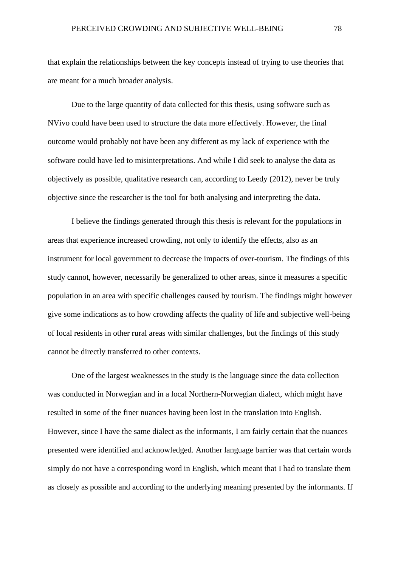that explain the relationships between the key concepts instead of trying to use theories that are meant for a much broader analysis.

Due to the large quantity of data collected for this thesis, using software such as NVivo could have been used to structure the data more effectively. However, the final outcome would probably not have been any different as my lack of experience with the software could have led to misinterpretations. And while I did seek to analyse the data as objectively as possible, qualitative research can, according to Leedy (2012), never be truly objective since the researcher is the tool for both analysing and interpreting the data.

I believe the findings generated through this thesis is relevant for the populations in areas that experience increased crowding, not only to identify the effects, also as an instrument for local government to decrease the impacts of over-tourism. The findings of this study cannot, however, necessarily be generalized to other areas, since it measures a specific population in an area with specific challenges caused by tourism. The findings might however give some indications as to how crowding affects the quality of life and subjective well-being of local residents in other rural areas with similar challenges, but the findings of this study cannot be directly transferred to other contexts.

One of the largest weaknesses in the study is the language since the data collection was conducted in Norwegian and in a local Northern-Norwegian dialect, which might have resulted in some of the finer nuances having been lost in the translation into English. However, since I have the same dialect as the informants, I am fairly certain that the nuances presented were identified and acknowledged. Another language barrier was that certain words simply do not have a corresponding word in English, which meant that I had to translate them as closely as possible and according to the underlying meaning presented by the informants. If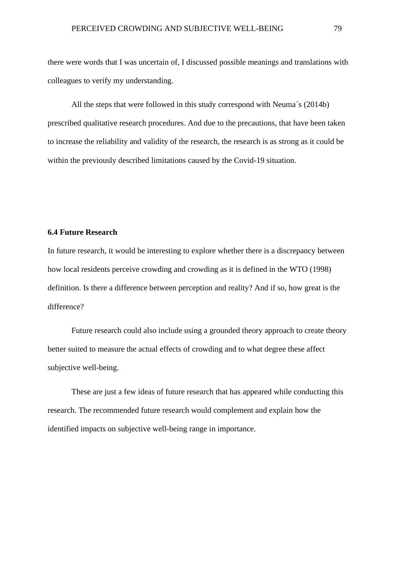there were words that I was uncertain of, I discussed possible meanings and translations with colleagues to verify my understanding.

All the steps that were followed in this study correspond with Neuma´s (2014b) prescribed qualitative research procedures. And due to the precautions, that have been taken to increase the reliability and validity of the research, the research is as strong as it could be within the previously described limitations caused by the Covid-19 situation.

# **6.4 Future Research**

In future research, it would be interesting to explore whether there is a discrepancy between how local residents perceive crowding and crowding as it is defined in the WTO (1998) definition. Is there a difference between perception and reality? And if so, how great is the difference?

Future research could also include using a grounded theory approach to create theory better suited to measure the actual effects of crowding and to what degree these affect subjective well-being.

These are just a few ideas of future research that has appeared while conducting this research. The recommended future research would complement and explain how the identified impacts on subjective well-being range in importance.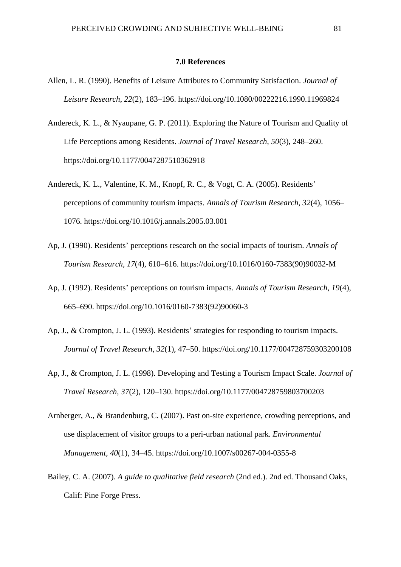#### **7.0 References**

- Allen, L. R. (1990). Benefits of Leisure Attributes to Community Satisfaction. *Journal of Leisure Research*, *22*(2), 183–196. https://doi.org/10.1080/00222216.1990.11969824
- Andereck, K. L., & Nyaupane, G. P. (2011). Exploring the Nature of Tourism and Quality of Life Perceptions among Residents. *Journal of Travel Research*, *50*(3), 248–260. https://doi.org/10.1177/0047287510362918
- Andereck, K. L., Valentine, K. M., Knopf, R. C., & Vogt, C. A. (2005). Residents' perceptions of community tourism impacts. *Annals of Tourism Research*, *32*(4), 1056– 1076. https://doi.org/10.1016/j.annals.2005.03.001
- Ap, J. (1990). Residents' perceptions research on the social impacts of tourism. *Annals of Tourism Research*, *17*(4), 610–616. https://doi.org/10.1016/0160-7383(90)90032-M
- Ap, J. (1992). Residents' perceptions on tourism impacts. *Annals of Tourism Research*, *19*(4), 665–690. https://doi.org/10.1016/0160-7383(92)90060-3
- Ap, J., & Crompton, J. L. (1993). Residents' strategies for responding to tourism impacts. *Journal of Travel Research*, *32*(1), 47–50. https://doi.org/10.1177/004728759303200108
- Ap, J., & Crompton, J. L. (1998). Developing and Testing a Tourism Impact Scale. *Journal of Travel Research*, *37*(2), 120–130. https://doi.org/10.1177/004728759803700203
- Arnberger, A., & Brandenburg, C. (2007). Past on-site experience, crowding perceptions, and use displacement of visitor groups to a peri-urban national park. *Environmental Management*, *40*(1), 34–45. https://doi.org/10.1007/s00267-004-0355-8
- Bailey, C. A. (2007). *A guide to qualitative field research* (2nd ed.). 2nd ed. Thousand Oaks, Calif: Pine Forge Press.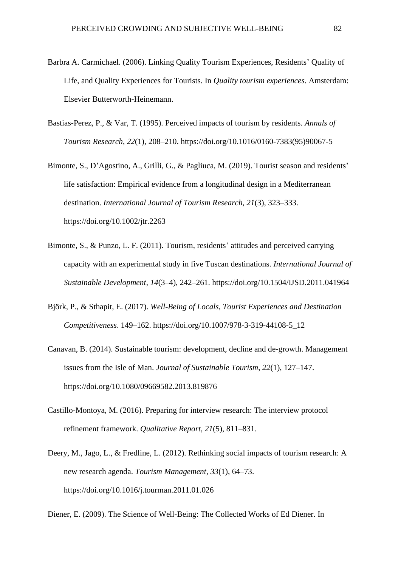- Barbra A. Carmichael. (2006). Linking Quality Tourism Experiences, Residents' Quality of Life, and Quality Experiences for Tourists. In *Quality tourism experiences*. Amsterdam: Elsevier Butterworth-Heinemann.
- Bastias-Perez, P., & Var, T. (1995). Perceived impacts of tourism by residents. *Annals of Tourism Research*, *22*(1), 208–210. https://doi.org/10.1016/0160-7383(95)90067-5
- Bimonte, S., D'Agostino, A., Grilli, G., & Pagliuca, M. (2019). Tourist season and residents' life satisfaction: Empirical evidence from a longitudinal design in a Mediterranean destination. *International Journal of Tourism Research*, *21*(3), 323–333. https://doi.org/10.1002/jtr.2263
- Bimonte, S., & Punzo, L. F. (2011). Tourism, residents' attitudes and perceived carrying capacity with an experimental study in five Tuscan destinations. *International Journal of Sustainable Development*, *14*(3–4), 242–261. https://doi.org/10.1504/IJSD.2011.041964
- Björk, P., & Sthapit, E. (2017). *Well-Being of Locals, Tourist Experiences and Destination Competitiveness*. 149–162. https://doi.org/10.1007/978-3-319-44108-5\_12
- Canavan, B. (2014). Sustainable tourism: development, decline and de-growth. Management issues from the Isle of Man. *Journal of Sustainable Tourism*, *22*(1), 127–147. https://doi.org/10.1080/09669582.2013.819876
- Castillo-Montoya, M. (2016). Preparing for interview research: The interview protocol refinement framework. *Qualitative Report*, *21*(5), 811–831.
- Deery, M., Jago, L., & Fredline, L. (2012). Rethinking social impacts of tourism research: A new research agenda. *Tourism Management*, *33*(1), 64–73. https://doi.org/10.1016/j.tourman.2011.01.026

Diener, E. (2009). The Science of Well-Being: The Collected Works of Ed Diener. In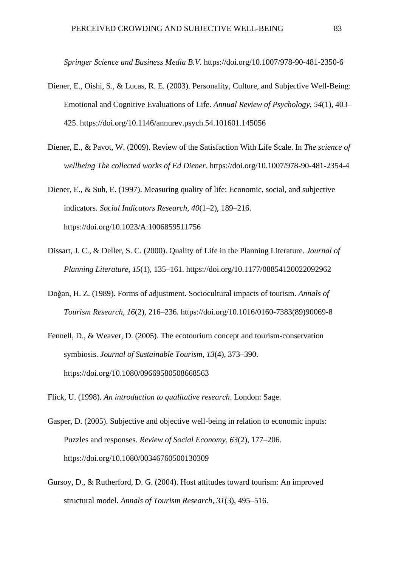*Springer Science and Business Media B.V.* https://doi.org/10.1007/978-90-481-2350-6

- Diener, E., Oishi, S., & Lucas, R. E. (2003). Personality, Culture, and Subjective Well-Being: Emotional and Cognitive Evaluations of Life. *Annual Review of Psychology*, *54*(1), 403– 425. https://doi.org/10.1146/annurev.psych.54.101601.145056
- Diener, E., & Pavot, W. (2009). Review of the Satisfaction With Life Scale. In *The science of wellbeing The collected works of Ed Diener*. https://doi.org/10.1007/978-90-481-2354-4
- Diener, E., & Suh, E. (1997). Measuring quality of life: Economic, social, and subjective indicators. *Social Indicators Research*, *40*(1–2), 189–216. https://doi.org/10.1023/A:1006859511756
- Dissart, J. C., & Deller, S. C. (2000). Quality of Life in the Planning Literature. *Journal of Planning Literature*, *15*(1), 135–161. https://doi.org/10.1177/08854120022092962
- Doǧan, H. Z. (1989). Forms of adjustment. Sociocultural impacts of tourism. *Annals of Tourism Research*, *16*(2), 216–236. https://doi.org/10.1016/0160-7383(89)90069-8
- Fennell, D., & Weaver, D. (2005). The ecotourium concept and tourism-conservation symbiosis. *Journal of Sustainable Tourism*, *13*(4), 373–390. https://doi.org/10.1080/09669580508668563
- Flick, U. (1998). *An introduction to qualitative research*. London: Sage.
- Gasper, D. (2005). Subjective and objective well-being in relation to economic inputs: Puzzles and responses. *Review of Social Economy*, *63*(2), 177–206. https://doi.org/10.1080/00346760500130309
- Gursoy, D., & Rutherford, D. G. (2004). Host attitudes toward tourism: An improved structural model. *Annals of Tourism Research*, *31*(3), 495–516.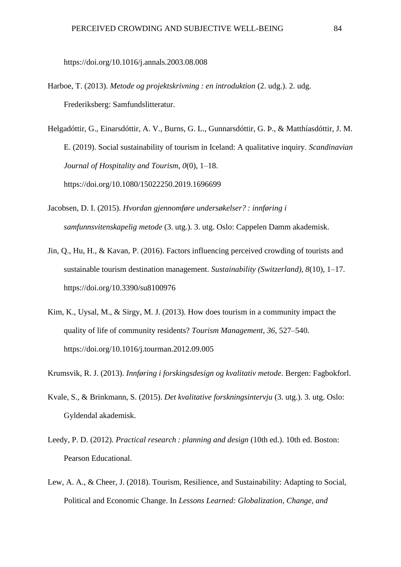https://doi.org/10.1016/j.annals.2003.08.008

- Harboe, T. (2013). *Metode og projektskrivning : en introduktion* (2. udg.). 2. udg. Frederiksberg: Samfundslitteratur.
- Helgadóttir, G., Einarsdóttir, A. V., Burns, G. L., Gunnarsdóttir, G. Þ., & Matthíasdóttir, J. M. E. (2019). Social sustainability of tourism in Iceland: A qualitative inquiry. *Scandinavian Journal of Hospitality and Tourism*, *0*(0), 1–18. https://doi.org/10.1080/15022250.2019.1696699
- Jacobsen, D. I. (2015). *Hvordan gjennomføre undersøkelser? : innføring i samfunnsvitenskapelig metode* (3. utg.). 3. utg. Oslo: Cappelen Damm akademisk.
- Jin, Q., Hu, H., & Kavan, P. (2016). Factors influencing perceived crowding of tourists and sustainable tourism destination management. *Sustainability (Switzerland)*, *8*(10), 1–17. https://doi.org/10.3390/su8100976
- Kim, K., Uysal, M., & Sirgy, M. J. (2013). How does tourism in a community impact the quality of life of community residents? *Tourism Management*, *36*, 527–540. https://doi.org/10.1016/j.tourman.2012.09.005
- Krumsvik, R. J. (2013). *Innføring i forskingsdesign og kvalitativ metode*. Bergen: Fagbokforl.
- Kvale, S., & Brinkmann, S. (2015). *Det kvalitative forskningsintervju* (3. utg.). 3. utg. Oslo: Gyldendal akademisk.
- Leedy, P. D. (2012). *Practical research : planning and design* (10th ed.). 10th ed. Boston: Pearson Educational.
- Lew, A. A., & Cheer, J. (2018). Tourism, Resilience, and Sustainability: Adapting to Social, Political and Economic Change. In *Lessons Learned: Globalization, Change, and*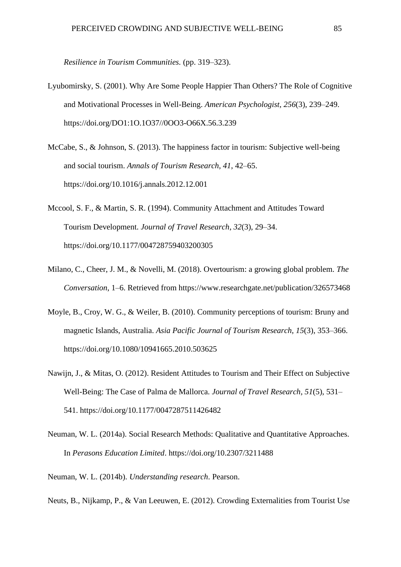*Resilience in Tourism Communities.* (pp. 319–323).

- Lyubomirsky, S. (2001). Why Are Some People Happier Than Others? The Role of Cognitive and Motivational Processes in Well-Being. *American Psychologist*, *256*(3), 239–249. https://doi.org/DO1:1O.1O37//0OO3-O66X.56.3.239
- McCabe, S., & Johnson, S. (2013). The happiness factor in tourism: Subjective well-being and social tourism. *Annals of Tourism Research*, *41*, 42–65. https://doi.org/10.1016/j.annals.2012.12.001
- Mccool, S. F., & Martin, S. R. (1994). Community Attachment and Attitudes Toward Tourism Development. *Journal of Travel Research*, *32*(3), 29–34. https://doi.org/10.1177/004728759403200305
- Milano, C., Cheer, J. M., & Novelli, M. (2018). Overtourism: a growing global problem. *The Conversation*, 1–6. Retrieved from https://www.researchgate.net/publication/326573468
- Moyle, B., Croy, W. G., & Weiler, B. (2010). Community perceptions of tourism: Bruny and magnetic Islands, Australia. *Asia Pacific Journal of Tourism Research*, *15*(3), 353–366. https://doi.org/10.1080/10941665.2010.503625
- Nawijn, J., & Mitas, O. (2012). Resident Attitudes to Tourism and Their Effect on Subjective Well-Being: The Case of Palma de Mallorca. *Journal of Travel Research*, *51*(5), 531– 541. https://doi.org/10.1177/0047287511426482
- Neuman, W. L. (2014a). Social Research Methods: Qualitative and Quantitative Approaches. In *Perasons Education Limited*. https://doi.org/10.2307/3211488

Neuman, W. L. (2014b). *Understanding research*. Pearson.

Neuts, B., Nijkamp, P., & Van Leeuwen, E. (2012). Crowding Externalities from Tourist Use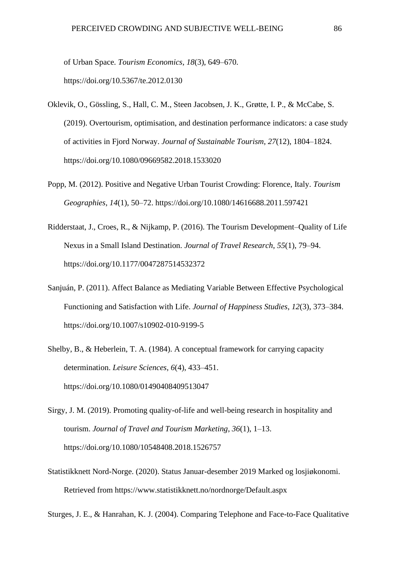of Urban Space. *Tourism Economics*, *18*(3), 649–670. https://doi.org/10.5367/te.2012.0130

- Oklevik, O., Gössling, S., Hall, C. M., Steen Jacobsen, J. K., Grøtte, I. P., & McCabe, S. (2019). Overtourism, optimisation, and destination performance indicators: a case study of activities in Fjord Norway. *Journal of Sustainable Tourism*, *27*(12), 1804–1824. https://doi.org/10.1080/09669582.2018.1533020
- Popp, M. (2012). Positive and Negative Urban Tourist Crowding: Florence, Italy. *Tourism Geographies*, *14*(1), 50–72. https://doi.org/10.1080/14616688.2011.597421
- Ridderstaat, J., Croes, R., & Nijkamp, P. (2016). The Tourism Development–Quality of Life Nexus in a Small Island Destination. *Journal of Travel Research*, *55*(1), 79–94. https://doi.org/10.1177/0047287514532372
- Sanjuán, P. (2011). Affect Balance as Mediating Variable Between Effective Psychological Functioning and Satisfaction with Life. *Journal of Happiness Studies*, *12*(3), 373–384. https://doi.org/10.1007/s10902-010-9199-5
- Shelby, B., & Heberlein, T. A. (1984). A conceptual framework for carrying capacity determination. *Leisure Sciences*, *6*(4), 433–451. https://doi.org/10.1080/01490408409513047
- Sirgy, J. M. (2019). Promoting quality-of-life and well-being research in hospitality and tourism. *Journal of Travel and Tourism Marketing*, *36*(1), 1–13. https://doi.org/10.1080/10548408.2018.1526757
- Statistikknett Nord-Norge. (2020). Status Januar-desember 2019 Marked og losjiøkonomi. Retrieved from https://www.statistikknett.no/nordnorge/Default.aspx

Sturges, J. E., & Hanrahan, K. J. (2004). Comparing Telephone and Face-to-Face Qualitative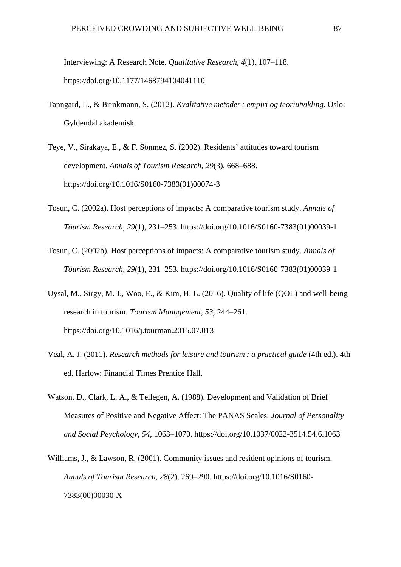Interviewing: A Research Note. *Qualitative Research*, *4*(1), 107–118. https://doi.org/10.1177/1468794104041110

- Tanngard, L., & Brinkmann, S. (2012). *Kvalitative metoder : empiri og teoriutvikling*. Oslo: Gyldendal akademisk.
- Teye, V., Sirakaya, E., & F. Sönmez, S. (2002). Residents' attitudes toward tourism development. *Annals of Tourism Research*, *29*(3), 668–688. https://doi.org/10.1016/S0160-7383(01)00074-3
- Tosun, C. (2002a). Host perceptions of impacts: A comparative tourism study. *Annals of Tourism Research*, *29*(1), 231–253. https://doi.org/10.1016/S0160-7383(01)00039-1
- Tosun, C. (2002b). Host perceptions of impacts: A comparative tourism study. *Annals of Tourism Research*, *29*(1), 231–253. https://doi.org/10.1016/S0160-7383(01)00039-1
- Uysal, M., Sirgy, M. J., Woo, E., & Kim, H. L. (2016). Quality of life (QOL) and well-being research in tourism. *Tourism Management*, *53*, 244–261. https://doi.org/10.1016/j.tourman.2015.07.013
- Veal, A. J. (2011). *Research methods for leisure and tourism : a practical guide* (4th ed.). 4th ed. Harlow: Financial Times Prentice Hall.
- Watson, D., Clark, L. A., & Tellegen, A. (1988). Development and Validation of Brief Measures of Positive and Negative Affect: The PANAS Scales. *Journal of Personality and Social Peychology*, *54*, 1063–1070. https://doi.org/10.1037/0022-3514.54.6.1063
- Williams, J., & Lawson, R. (2001). Community issues and resident opinions of tourism. *Annals of Tourism Research*, *28*(2), 269–290. https://doi.org/10.1016/S0160- 7383(00)00030-X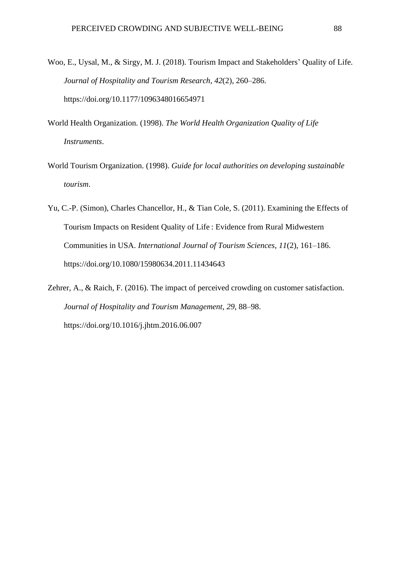- Woo, E., Uysal, M., & Sirgy, M. J. (2018). Tourism Impact and Stakeholders' Quality of Life. *Journal of Hospitality and Tourism Research*, *42*(2), 260–286. https://doi.org/10.1177/1096348016654971
- World Health Organization. (1998). *The World Health Organization Quality of Life Instruments*.
- World Tourism Organization. (1998). *Guide for local authorities on developing sustainable tourism*.
- Yu, C.-P. (Simon), Charles Chancellor, H., & Tian Cole, S. (2011). Examining the Effects of Tourism Impacts on Resident Quality of Life : Evidence from Rural Midwestern Communities in USA. *International Journal of Tourism Sciences*, *11*(2), 161–186. https://doi.org/10.1080/15980634.2011.11434643
- Zehrer, A., & Raich, F. (2016). The impact of perceived crowding on customer satisfaction. *Journal of Hospitality and Tourism Management*, *29*, 88–98. https://doi.org/10.1016/j.jhtm.2016.06.007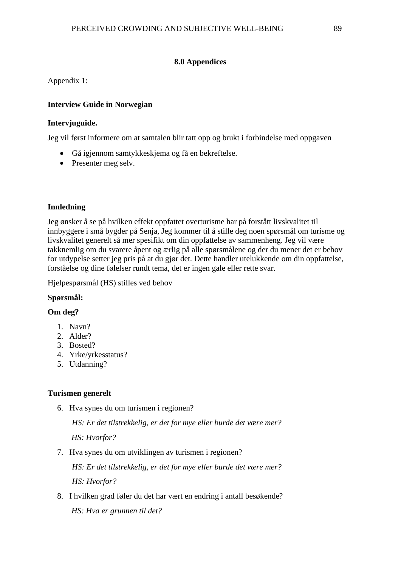# **8.0 Appendices**

Appendix 1:

# **Interview Guide in Norwegian**

#### **Intervjuguide.**

Jeg vil først informere om at samtalen blir tatt opp og brukt i forbindelse med oppgaven

- Gå igjennom samtykkeskjema og få en bekreftelse.
- Presenter meg selv.

# **Innledning**

Jeg ønsker å se på hvilken effekt oppfattet overturisme har på forstått livskvalitet til innbyggere i små bygder på Senja, Jeg kommer til å stille deg noen spørsmål om turisme og livskvalitet generelt så mer spesifikt om din oppfattelse av sammenheng. Jeg vil være takknemlig om du svarere åpent og ærlig på alle spørsmålene og der du mener det er behov for utdypelse setter jeg pris på at du gjør det. Dette handler utelukkende om din oppfattelse, forståelse og dine følelser rundt tema, det er ingen gale eller rette svar.

Hjelpespørsmål (HS) stilles ved behov

# **Spørsmål:**

# **Om deg?**

- 1. Navn?
- 2. Alder?
- 3. Bosted?
- 4. Yrke/yrkesstatus?
- 5. Utdanning?

# **Turismen generelt**

6. Hva synes du om turismen i regionen?

*HS: Er det tilstrekkelig, er det for mye eller burde det være mer? HS: Hvorfor?*

7. Hva synes du om utviklingen av turismen i regionen?

*HS: Er det tilstrekkelig, er det for mye eller burde det være mer? HS: Hvorfor?*

8. I hvilken grad føler du det har vært en endring i antall besøkende? *HS: Hva er grunnen til det?*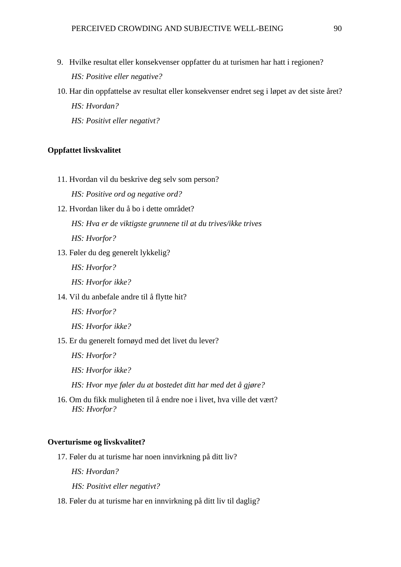- 9. Hvilke resultat eller konsekvenser oppfatter du at turismen har hatt i regionen? *HS: Positive eller negative?*
- 10. Har din oppfattelse av resultat eller konsekvenser endret seg i løpet av det siste året? *HS: Hvordan? HS: Positivt eller negativt?*

#### **Oppfattet livskvalitet**

11. Hvordan vil du beskrive deg selv som person?

*HS: Positive ord og negative ord?*

- 12. Hvordan liker du å bo i dette området? *HS: Hva er de viktigste grunnene til at du trives/ikke trives HS: Hvorfor?*
- 13. Føler du deg generelt lykkelig?
	- *HS: Hvorfor?*
	- *HS: Hvorfor ikke?*
- 14. Vil du anbefale andre til å flytte hit?
	- *HS: Hvorfor?*
	- *HS: Hvorfor ikke?*
- 15. Er du generelt fornøyd med det livet du lever?
	- *HS: Hvorfor?*
	- *HS: Hvorfor ikke?*
	- *HS: Hvor mye føler du at bostedet ditt har med det å gjøre?*
- 16. Om du fikk muligheten til å endre noe i livet, hva ville det vært? *HS: Hvorfor?*

#### **Overturisme og livskvalitet?**

17. Føler du at turisme har noen innvirkning på ditt liv?

*HS: Hvordan?*

*HS: Positivt eller negativt?*

18. Føler du at turisme har en innvirkning på ditt liv til daglig?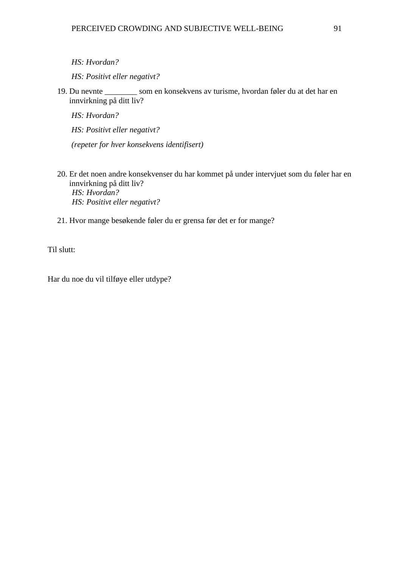```
HS: Hvordan?
```
*HS: Positivt eller negativt?*

19. Du nevnte \_\_\_\_\_\_\_\_ som en konsekvens av turisme, hvordan føler du at det har en innvirkning på ditt liv?

*HS: Hvordan?*

*HS: Positivt eller negativt?*

*(repeter for hver konsekvens identifisert)*

- 20. Er det noen andre konsekvenser du har kommet på under intervjuet som du føler har en innvirkning på ditt liv? *HS: Hvordan? HS: Positivt eller negativt?*
- 21. Hvor mange besøkende føler du er grensa før det er for mange?

Til slutt:

Har du noe du vil tilføye eller utdype?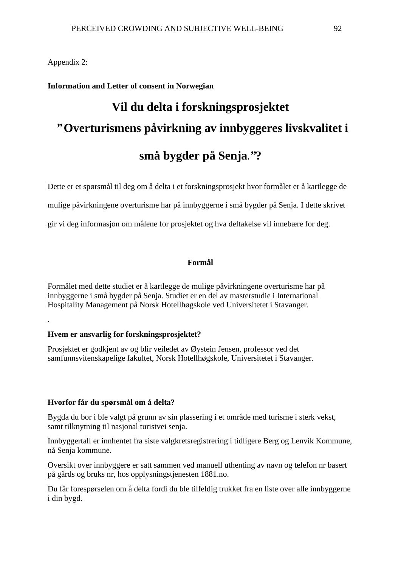Appendix 2:

*.* 

# **Information and Letter of consent in Norwegian**

# **Vil du delta i forskningsprosjektet** *"* **Overturismens påvirkning av innbyggeres livskvalitet i små bygder på Senja.***"***?**

Dette er et spørsmål til deg om å delta i et forskningsprosjekt hvor formålet er å kartlegge de

mulige påvirkningene overturisme har på innbyggerne i små bygder på Senja. I dette skrivet

gir vi deg informasjon om målene for prosjektet og hva deltakelse vil innebære for deg.

# **Formål**

Formålet med dette studiet er å kartlegge de mulige påvirkningene overturisme har på innbyggerne i små bygder på Senja. Studiet er en del av masterstudie i International Hospitality Management på Norsk Hotellhøgskole ved Universitetet i Stavanger.

# **Hvem er ansvarlig for forskningsprosjektet?**

Prosjektet er godkjent av og blir veiledet av Øystein Jensen, professor ved det samfunnsvitenskapelige fakultet, Norsk Hotellhøgskole, Universitetet i Stavanger.

# **Hvorfor får du spørsmål om å delta?**

Bygda du bor i ble valgt på grunn av sin plassering i et område med turisme i sterk vekst, samt tilknytning til nasjonal turistvei senja.

Innbyggertall er innhentet fra siste valgkretsregistrering i tidligere Berg og Lenvik Kommune, nå Senja kommune.

Oversikt over innbyggere er satt sammen ved manuell uthenting av navn og telefon nr basert på gårds og bruks nr, hos opplysningstjenesten 1881.no.

Du får forespørselen om å delta fordi du ble tilfeldig trukket fra en liste over alle innbyggerne i din bygd.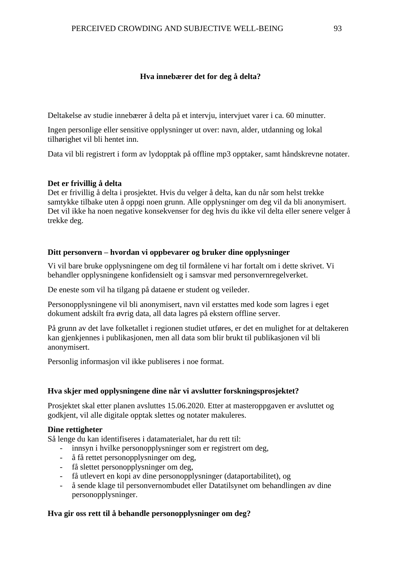# **Hva innebærer det for deg å delta?**

Deltakelse av studie innebærer å delta på et intervju, intervjuet varer i ca. 60 minutter.

Ingen personlige eller sensitive opplysninger ut over: navn, alder, utdanning og lokal tilhørighet vil bli hentet inn.

Data vil bli registrert i form av lydopptak på offline mp3 opptaker, samt håndskrevne notater.

# **Det er frivillig å delta**

Det er frivillig å delta i prosjektet. Hvis du velger å delta, kan du når som helst trekke samtykke tilbake uten å oppgi noen grunn. Alle opplysninger om deg vil da bli anonymisert. Det vil ikke ha noen negative konsekvenser for deg hvis du ikke vil delta eller senere velger å trekke deg.

# **Ditt personvern – hvordan vi oppbevarer og bruker dine opplysninger**

Vi vil bare bruke opplysningene om deg til formålene vi har fortalt om i dette skrivet. Vi behandler opplysningene konfidensielt og i samsvar med personvernregelverket.

De eneste som vil ha tilgang på dataene er student og veileder.

Personopplysningene vil bli anonymisert, navn vil erstattes med kode som lagres i eget dokument adskilt fra øvrig data, all data lagres på ekstern offline server.

På grunn av det lave folketallet i regionen studiet utføres, er det en mulighet for at deltakeren kan gjenkjennes i publikasjonen, men all data som blir brukt til publikasjonen vil bli anonymisert.

Personlig informasjon vil ikke publiseres i noe format.

# **Hva skjer med opplysningene dine når vi avslutter forskningsprosjektet?**

Prosjektet skal etter planen avsluttes 15.06.2020*.* Etter at masteroppgaven er avsluttet og godkjent, vil alle digitale opptak slettes og notater makuleres.

# **Dine rettigheter**

Så lenge du kan identifiseres i datamaterialet, har du rett til:

- innsyn i hvilke personopplysninger som er registrert om deg,
- å få rettet personopplysninger om deg,
- få slettet personopplysninger om deg,
- få utlevert en kopi av dine personopplysninger (dataportabilitet), og
- å sende klage til personvernombudet eller Datatilsynet om behandlingen av dine personopplysninger.

# **Hva gir oss rett til å behandle personopplysninger om deg?**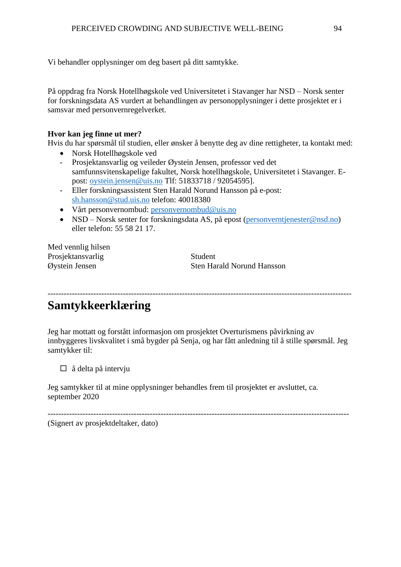Vi behandler opplysninger om deg basert på ditt samtykke.

På oppdrag fra Norsk Hotellhøgskole ved Universitetet i Stavanger har NSD – Norsk senter for forskningsdata AS vurdert at behandlingen av personopplysninger i dette prosjektet er i samsvar med personvernregelverket.

# **Hvor kan jeg finne ut mer?**

Hvis du har spørsmål til studien, eller ønsker å benytte deg av dine rettigheter, ta kontakt med:

- Norsk Hotellhøgskole ved
- Prosjektansvarlig og veileder Øystein Jensen, professor ved det samfunnsvitenskapelige fakultet, Norsk hotellhøgskole, Universitetet i Stavanger. Epost: [oystein.jensen@uis.no](mailto:oystein.jensen@uis.no) Tlf: 51833718 / 92054595].
- Eller forskningsassistent Sten Harald Norund Hansson på e-post: [sh.hansson@stud.uis.no](mailto:sh.hansson@stud.uis.no) telefon: 40018380
- Vårt personvernombud: [personvernombud@uis.no](mailto:personvernombud@uis.no)
- NSD Norsk senter for forskningsdata AS, på epost [\(personverntjenester@nsd.no\)](mailto:personverntjenester@nsd.no) eller telefon: 55 58 21 17.

Med vennlig hilsen Prosjektansvarlig Student

Øystein Jensen Sten Harald Norund Hansson

-----------------------------------------------------------------------------------------------------------------

# **Samtykkeerklæring**

Jeg har mottatt og forstått informasjon om prosjektet Overturismens påvirkning av innbyggeres livskvalitet i små bygder på Senja, og har fått anledning til å stille spørsmål. Jeg samtykker til:

 $\Box$  å delta på intervju

Jeg samtykker til at mine opplysninger behandles frem til prosjektet er avsluttet, ca. september 2020

---------------------------------------------------------------------------------------------------------------- (Signert av prosjektdeltaker, dato)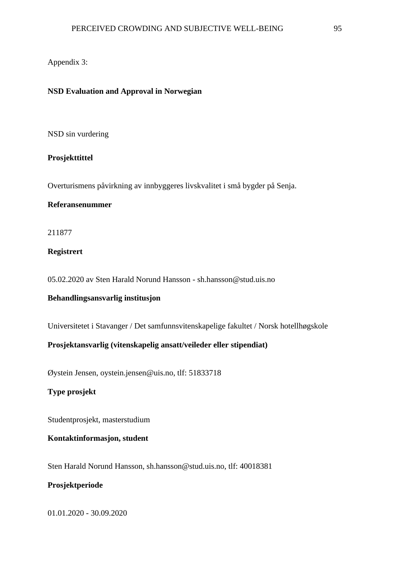# Appendix 3:

#### **NSD Evaluation and Approval in Norwegian**

#### NSD sin vurdering

## **Prosjekttittel**

Overturismens påvirkning av innbyggeres livskvalitet i små bygder på Senja.

# **Referansenummer**

211877

# **Registrert**

05.02.2020 av Sten Harald Norund Hansson - sh.hansson@stud.uis.no

# **Behandlingsansvarlig institusjon**

Universitetet i Stavanger / Det samfunnsvitenskapelige fakultet / Norsk hotellhøgskole

# **Prosjektansvarlig (vitenskapelig ansatt/veileder eller stipendiat)**

Øystein Jensen, oystein.jensen@uis.no, tlf: 51833718

**Type prosjekt**

Studentprosjekt, masterstudium

# **Kontaktinformasjon, student**

Sten Harald Norund Hansson, sh.hansson@stud.uis.no, tlf: 40018381

# **Prosjektperiode**

01.01.2020 - 30.09.2020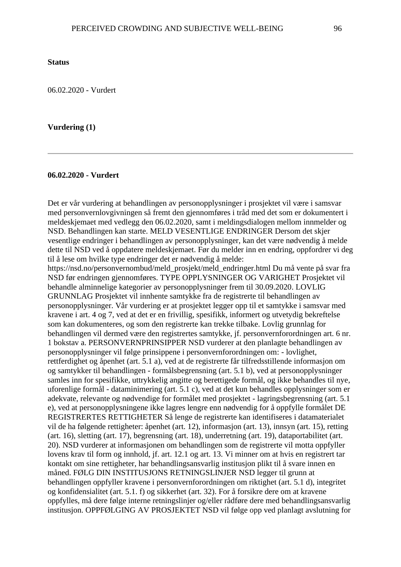06.02.2020 - Vurdert

#### **Vurdering (1)**

# **06.02.2020 - Vurdert**

Det er vår vurdering at behandlingen av personopplysninger i prosjektet vil være i samsvar med personvernlovgivningen så fremt den gjennomføres i tråd med det som er dokumentert i meldeskjemaet med vedlegg den 06.02.2020, samt i meldingsdialogen mellom innmelder og NSD. Behandlingen kan starte. MELD VESENTLIGE ENDRINGER Dersom det skjer vesentlige endringer i behandlingen av personopplysninger, kan det være nødvendig å melde dette til NSD ved å oppdatere meldeskjemaet. Før du melder inn en endring, oppfordrer vi deg til å lese om hvilke type endringer det er nødvendig å melde:

https://nsd.no/personvernombud/meld\_prosjekt/meld\_endringer.html Du må vente på svar fra NSD før endringen gjennomføres. TYPE OPPLYSNINGER OG VARIGHET Prosjektet vil behandle alminnelige kategorier av personopplysninger frem til 30.09.2020. LOVLIG GRUNNLAG Prosjektet vil innhente samtykke fra de registrerte til behandlingen av personopplysninger. Vår vurdering er at prosjektet legger opp til et samtykke i samsvar med kravene i art. 4 og 7, ved at det er en frivillig, spesifikk, informert og utvetydig bekreftelse som kan dokumenteres, og som den registrerte kan trekke tilbake. Lovlig grunnlag for behandlingen vil dermed være den registrertes samtykke, jf. personvernforordningen art. 6 nr. 1 bokstav a. PERSONVERNPRINSIPPER NSD vurderer at den planlagte behandlingen av personopplysninger vil følge prinsippene i personvernforordningen om: - lovlighet, rettferdighet og åpenhet (art. 5.1 a), ved at de registrerte får tilfredsstillende informasjon om og samtykker til behandlingen - formålsbegrensning (art. 5.1 b), ved at personopplysninger samles inn for spesifikke, uttrykkelig angitte og berettigede formål, og ikke behandles til nye, uforenlige formål - dataminimering (art. 5.1 c), ved at det kun behandles opplysninger som er adekvate, relevante og nødvendige for formålet med prosjektet - lagringsbegrensning (art. 5.1 e), ved at personopplysningene ikke lagres lengre enn nødvendig for å oppfylle formålet DE REGISTRERTES RETTIGHETER Så lenge de registrerte kan identifiseres i datamaterialet vil de ha følgende rettigheter: åpenhet (art. 12), informasjon (art. 13), innsyn (art. 15), retting (art. 16), sletting (art. 17), begrensning (art. 18), underretning (art. 19), dataportabilitet (art. 20). NSD vurderer at informasjonen om behandlingen som de registrerte vil motta oppfyller lovens krav til form og innhold, jf. art. 12.1 og art. 13. Vi minner om at hvis en registrert tar kontakt om sine rettigheter, har behandlingsansvarlig institusjon plikt til å svare innen en måned. FØLG DIN INSTITUSJONS RETNINGSLINJER NSD legger til grunn at behandlingen oppfyller kravene i personvernforordningen om riktighet (art. 5.1 d), integritet og konfidensialitet (art. 5.1. f) og sikkerhet (art. 32). For å forsikre dere om at kravene oppfylles, må dere følge interne retningslinjer og/eller rådføre dere med behandlingsansvarlig institusjon. OPPFØLGING AV PROSJEKTET NSD vil følge opp ved planlagt avslutning for